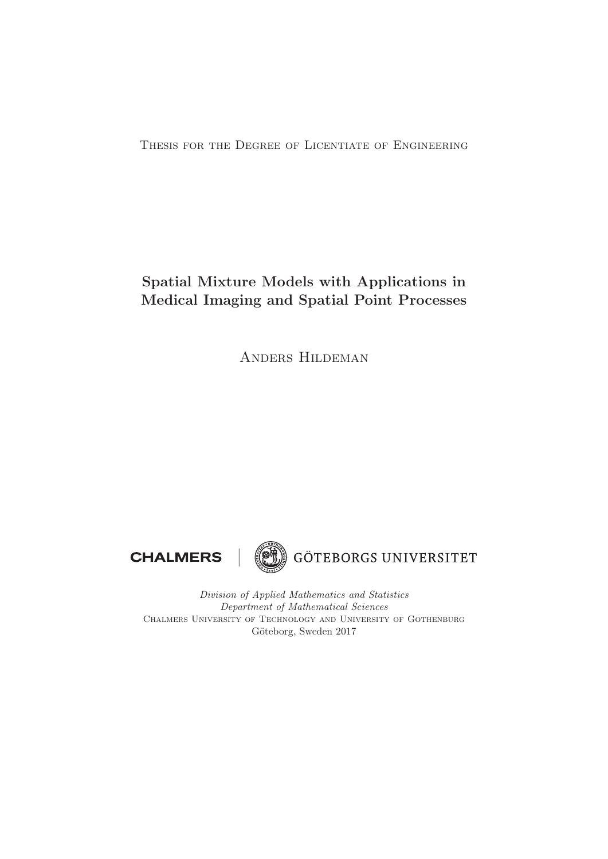Thesis for the Degree of Licentiate of Engineering

# **Spatial Mixture Models with Applications in Medical Imaging and Spatial Point Processes**

Anders Hildeman





Division of Applied Mathematics and Statistics Department of Mathematical Sciences Chalmers University of Technology and University of Gothenburg Göteborg, Sweden 2017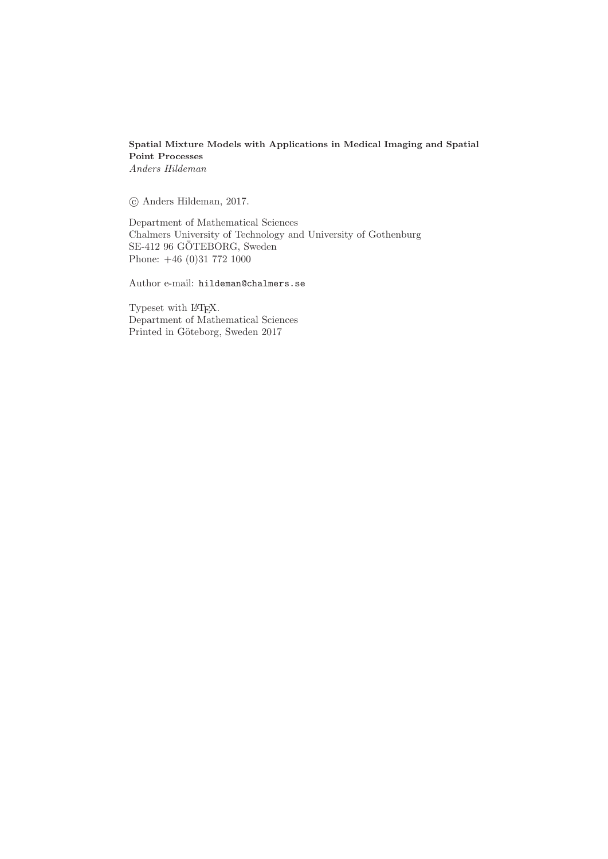## **Spatial Mixture Models with Applications in Medical Imaging and Spatial Point Processes** Anders Hildeman

-c Anders Hildeman, 2017.

Department of Mathematical Sciences Chalmers University of Technology and University of Gothenburg SE-412 96 GÖTEBORG, Sweden Phone: +46 (0)31 772 1000

Author e-mail: hildeman@chalmers.se

Typeset with L<sup>AT</sup>EX. Department of Mathematical Sciences Printed in Göteborg, Sweden 2017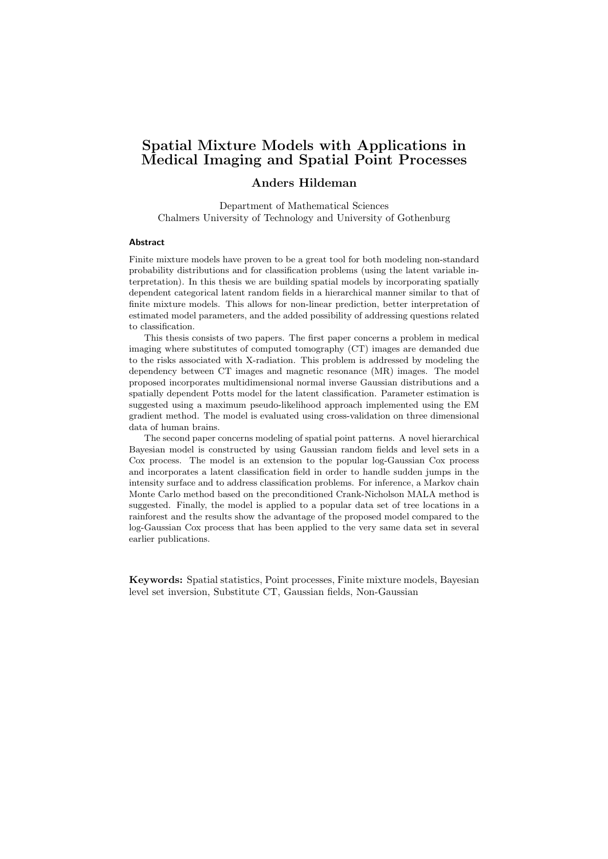## Spatial Mixture Models with Applications in Medical Imaging and Spatial Point Processes

## Anders Hildeman

Department of Mathematical Sciences Chalmers University of Technology and University of Gothenburg

#### **Abstract**

Finite mixture models have proven to be a great tool for both modeling non-standard probability distributions and for classification problems (using the latent variable interpretation). In this thesis we are building spatial models by incorporating spatially dependent categorical latent random fields in a hierarchical manner similar to that of finite mixture models. This allows for non-linear prediction, better interpretation of estimated model parameters, and the added possibility of addressing questions related to classification.

This thesis consists of two papers. The first paper concerns a problem in medical imaging where substitutes of computed tomography (CT) images are demanded due to the risks associated with X-radiation. This problem is addressed by modeling the dependency between CT images and magnetic resonance (MR) images. The model proposed incorporates multidimensional normal inverse Gaussian distributions and a spatially dependent Potts model for the latent classification. Parameter estimation is suggested using a maximum pseudo-likelihood approach implemented using the EM gradient method. The model is evaluated using cross-validation on three dimensional data of human brains.

The second paper concerns modeling of spatial point patterns. A novel hierarchical Bayesian model is constructed by using Gaussian random fields and level sets in a Cox process. The model is an extension to the popular log-Gaussian Cox process and incorporates a latent classification field in order to handle sudden jumps in the intensity surface and to address classification problems. For inference, a Markov chain Monte Carlo method based on the preconditioned Crank-Nicholson MALA method is suggested. Finally, the model is applied to a popular data set of tree locations in a rainforest and the results show the advantage of the proposed model compared to the log-Gaussian Cox process that has been applied to the very same data set in several earlier publications.

Keywords: Spatial statistics, Point processes, Finite mixture models, Bayesian level set inversion, Substitute CT, Gaussian fields, Non-Gaussian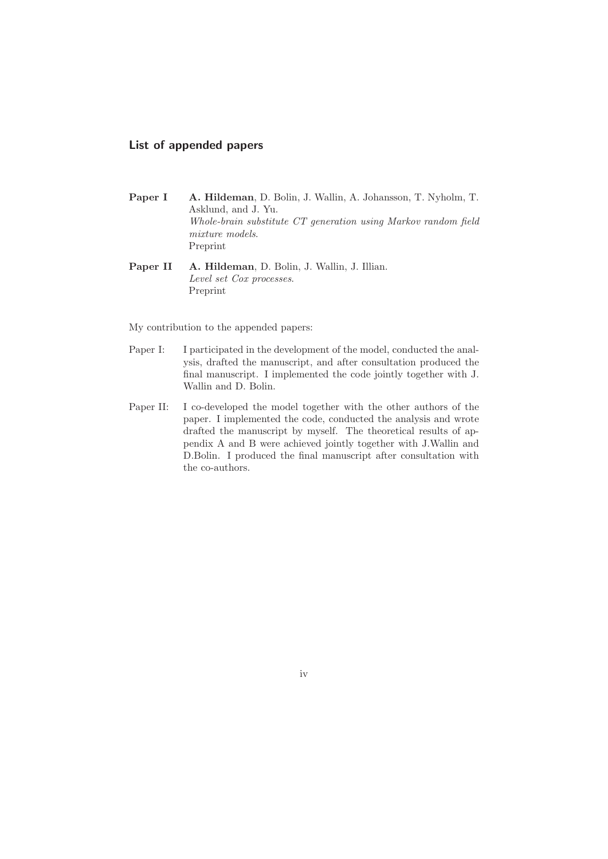## **List of appended papers**

- **Paper I A. Hildeman**, D. Bolin, J. Wallin, A. Johansson, T. Nyholm, T. Asklund, and J. Yu. Whole-brain substitute CT generation using Markov random field mixture models. Preprint
- **Paper II A. Hildeman**, D. Bolin, J. Wallin, J. Illian. Level set Cox processes. Preprint

My contribution to the appended papers:

- Paper I: I participated in the development of the model, conducted the analysis, drafted the manuscript, and after consultation produced the final manuscript. I implemented the code jointly together with J. Wallin and D. Bolin.
- Paper II: I co-developed the model together with the other authors of the paper. I implemented the code, conducted the analysis and wrote drafted the manuscript by myself. The theoretical results of appendix A and B were achieved jointly together with J.Wallin and D.Bolin. I produced the final manuscript after consultation with the co-authors.

iv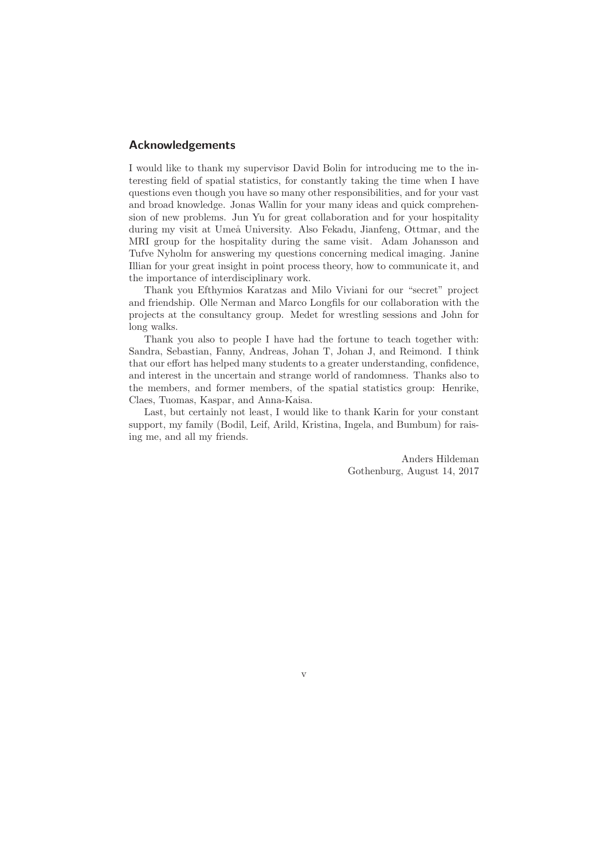## **Acknowledgements**

I would like to thank my supervisor David Bolin for introducing me to the interesting field of spatial statistics, for constantly taking the time when I have questions even though you have so many other responsibilities, and for your vast and broad knowledge. Jonas Wallin for your many ideas and quick comprehension of new problems. Jun Yu for great collaboration and for your hospitality during my visit at Umeå University. Also Fekadu, Jianfeng, Ottmar, and the MRI group for the hospitality during the same visit. Adam Johansson and Tufve Nyholm for answering my questions concerning medical imaging. Janine Illian for your great insight in point process theory, how to communicate it, and the importance of interdisciplinary work.

Thank you Efthymios Karatzas and Milo Viviani for our "secret" project and friendship. Olle Nerman and Marco Longfils for our collaboration with the projects at the consultancy group. Medet for wrestling sessions and John for long walks.

Thank you also to people I have had the fortune to teach together with: Sandra, Sebastian, Fanny, Andreas, Johan T, Johan J, and Reimond. I think that our effort has helped many students to a greater understanding, confidence, and interest in the uncertain and strange world of randomness. Thanks also to the members, and former members, of the spatial statistics group: Henrike, Claes, Tuomas, Kaspar, and Anna-Kaisa.

Last, but certainly not least, I would like to thank Karin for your constant support, my family (Bodil, Leif, Arild, Kristina, Ingela, and Bumbum) for raising me, and all my friends.

> Anders Hildeman Gothenburg, August 14, 2017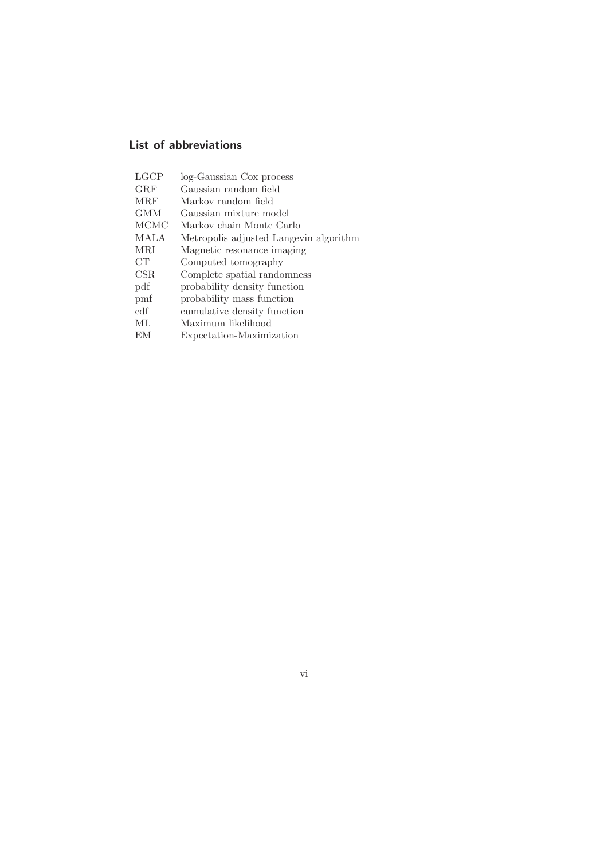## **List of abbreviations**

| LGCP        | log-Gaussian Cox process               |
|-------------|----------------------------------------|
| GRF         | Gaussian random field                  |
| <b>MRF</b>  | Markov random field                    |
| GMM         | Gaussian mixture model                 |
| <b>MCMC</b> | Markov chain Monte Carlo               |
| <b>MALA</b> | Metropolis adjusted Langevin algorithm |
| MRI         | Magnetic resonance imaging             |
| CT          | Computed tomography                    |
| CSR         | Complete spatial randomness            |
| pdf         | probability density function           |
| pmf         | probability mass function              |
| edf         | cumulative density function            |
| ML          | Maximum likelihood                     |
| EM.         | Expectation-Maximization               |
|             |                                        |

vi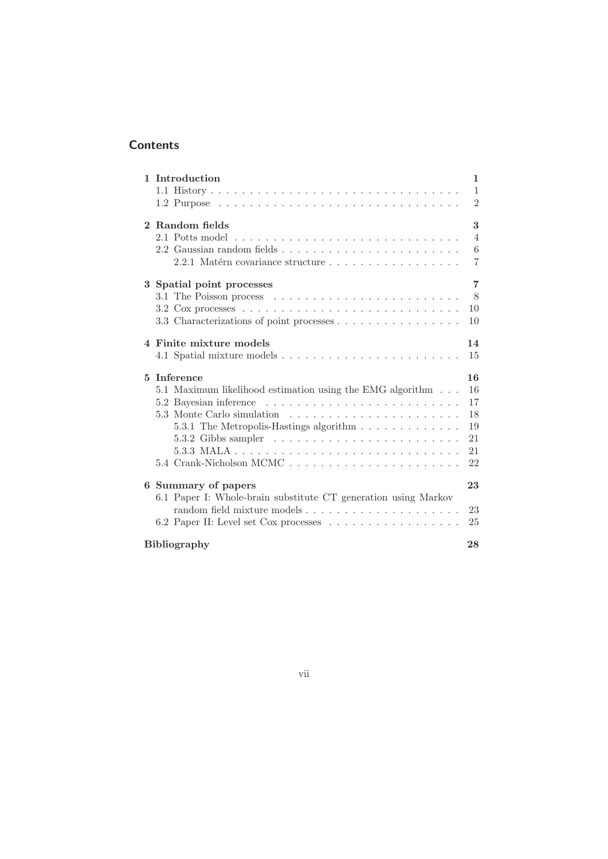## **Contents**

| 1 Introduction                                                                            | 1              |  |
|-------------------------------------------------------------------------------------------|----------------|--|
|                                                                                           | $\mathbf{1}$   |  |
|                                                                                           | $\overline{2}$ |  |
|                                                                                           |                |  |
| 2 Random fields                                                                           | 3              |  |
|                                                                                           | $\overline{4}$ |  |
|                                                                                           | 6              |  |
| 2.2.1 Matérn covariance structure                                                         | $\overline{7}$ |  |
| 3 Spatial point processes                                                                 | $\overline{7}$ |  |
|                                                                                           | 8              |  |
| 3.2 Cox processes $\ldots \ldots \ldots \ldots \ldots \ldots \ldots \ldots \ldots \ldots$ | 10             |  |
| 3.3 Characterizations of point processes                                                  | 10             |  |
|                                                                                           |                |  |
| 4 Finite mixture models                                                                   | 14             |  |
|                                                                                           | 15             |  |
|                                                                                           |                |  |
| 5 Inference                                                                               | 16             |  |
| 5.1 Maximum likelihood estimation using the EMG algorithm                                 | 16             |  |
|                                                                                           | 17             |  |
|                                                                                           | 18             |  |
| 5.3.1 The Metropolis-Hastings algorithm                                                   | 19             |  |
|                                                                                           | 21             |  |
|                                                                                           | 21             |  |
| 5.4 Crank-Nicholson MCMC                                                                  | 22             |  |
| 6 Summary of papers                                                                       | 23             |  |
| 6.1 Paper I: Whole-brain substitute CT generation using Markov                            |                |  |
|                                                                                           | 23             |  |
|                                                                                           | 25             |  |
|                                                                                           |                |  |
| <b>Bibliography</b><br>28                                                                 |                |  |

## vii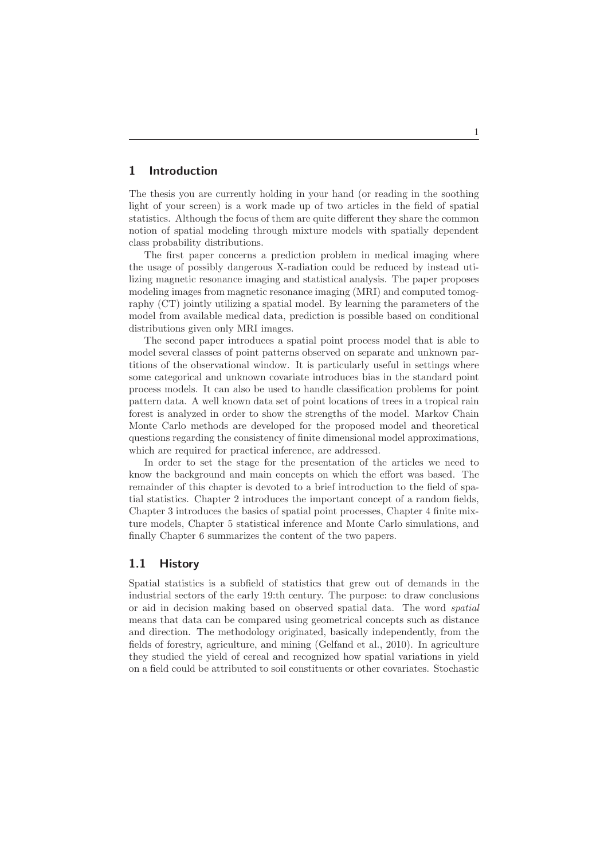## **1 Introduction**

The thesis you are currently holding in your hand (or reading in the soothing light of your screen) is a work made up of two articles in the field of spatial statistics. Although the focus of them are quite different they share the common notion of spatial modeling through mixture models with spatially dependent class probability distributions.

The first paper concerns a prediction problem in medical imaging where the usage of possibly dangerous X-radiation could be reduced by instead utilizing magnetic resonance imaging and statistical analysis. The paper proposes modeling images from magnetic resonance imaging (MRI) and computed tomography (CT) jointly utilizing a spatial model. By learning the parameters of the model from available medical data, prediction is possible based on conditional distributions given only MRI images.

The second paper introduces a spatial point process model that is able to model several classes of point patterns observed on separate and unknown partitions of the observational window. It is particularly useful in settings where some categorical and unknown covariate introduces bias in the standard point process models. It can also be used to handle classification problems for point pattern data. A well known data set of point locations of trees in a tropical rain forest is analyzed in order to show the strengths of the model. Markov Chain Monte Carlo methods are developed for the proposed model and theoretical questions regarding the consistency of finite dimensional model approximations, which are required for practical inference, are addressed.

In order to set the stage for the presentation of the articles we need to know the background and main concepts on which the effort was based. The remainder of this chapter is devoted to a brief introduction to the field of spatial statistics. Chapter 2 introduces the important concept of a random fields, Chapter 3 introduces the basics of spatial point processes, Chapter 4 finite mixture models, Chapter 5 statistical inference and Monte Carlo simulations, and finally Chapter 6 summarizes the content of the two papers.

## **1.1 History**

Spatial statistics is a subfield of statistics that grew out of demands in the industrial sectors of the early 19:th century. The purpose: to draw conclusions or aid in decision making based on observed spatial data. The word spatial means that data can be compared using geometrical concepts such as distance and direction. The methodology originated, basically independently, from the fields of forestry, agriculture, and mining (Gelfand et al., 2010). In agriculture they studied the yield of cereal and recognized how spatial variations in yield on a field could be attributed to soil constituents or other covariates. Stochastic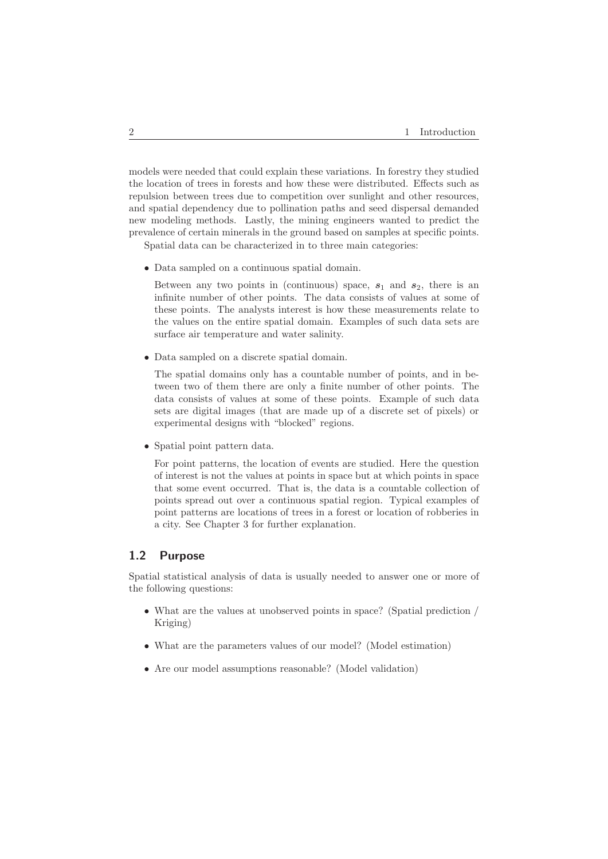models were needed that could explain these variations. In forestry they studied the location of trees in forests and how these were distributed. Effects such as repulsion between trees due to competition over sunlight and other resources, and spatial dependency due to pollination paths and seed dispersal demanded new modeling methods. Lastly, the mining engineers wanted to predict the prevalence of certain minerals in the ground based on samples at specific points.

Spatial data can be characterized in to three main categories:

• Data sampled on a continuous spatial domain.

Between any two points in (continuous) space,  $s_1$  and  $s_2$ , there is an infinite number of other points. The data consists of values at some of these points. The analysts interest is how these measurements relate to the values on the entire spatial domain. Examples of such data sets are surface air temperature and water salinity.

• Data sampled on a discrete spatial domain.

The spatial domains only has a countable number of points, and in between two of them there are only a finite number of other points. The data consists of values at some of these points. Example of such data sets are digital images (that are made up of a discrete set of pixels) or experimental designs with "blocked" regions.

• Spatial point pattern data.

For point patterns, the location of events are studied. Here the question of interest is not the values at points in space but at which points in space that some event occurred. That is, the data is a countable collection of points spread out over a continuous spatial region. Typical examples of point patterns are locations of trees in a forest or location of robberies in a city. See Chapter 3 for further explanation.

## **1.2 Purpose**

Spatial statistical analysis of data is usually needed to answer one or more of the following questions:

- What are the values at unobserved points in space? (Spatial prediction / Kriging)
- What are the parameters values of our model? (Model estimation)
- Are our model assumptions reasonable? (Model validation)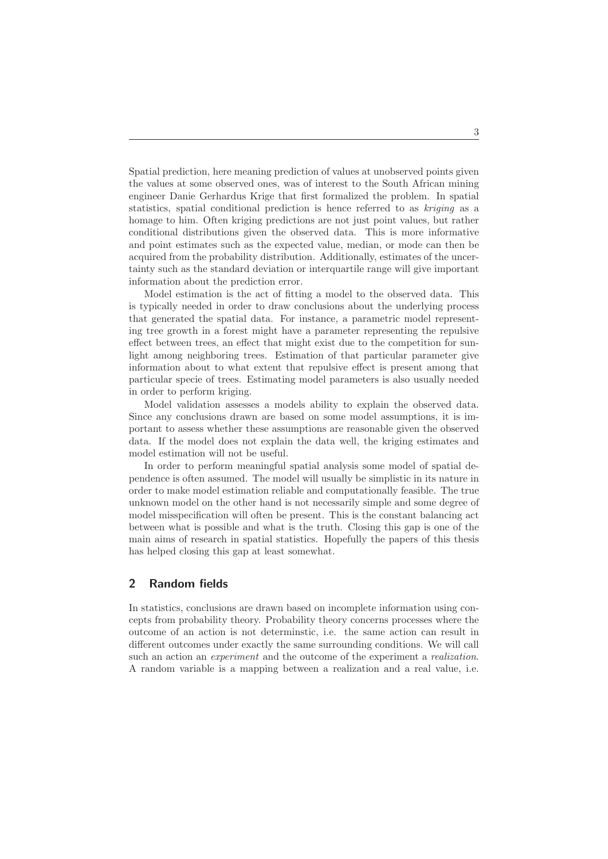Spatial prediction, here meaning prediction of values at unobserved points given the values at some observed ones, was of interest to the South African mining engineer Danie Gerhardus Krige that first formalized the problem. In spatial statistics, spatial conditional prediction is hence referred to as kriging as a homage to him. Often kriging predictions are not just point values, but rather conditional distributions given the observed data. This is more informative and point estimates such as the expected value, median, or mode can then be acquired from the probability distribution. Additionally, estimates of the uncertainty such as the standard deviation or interquartile range will give important information about the prediction error.

Model estimation is the act of fitting a model to the observed data. This is typically needed in order to draw conclusions about the underlying process that generated the spatial data. For instance, a parametric model representing tree growth in a forest might have a parameter representing the repulsive effect between trees, an effect that might exist due to the competition for sunlight among neighboring trees. Estimation of that particular parameter give information about to what extent that repulsive effect is present among that particular specie of trees. Estimating model parameters is also usually needed in order to perform kriging.

Model validation assesses a models ability to explain the observed data. Since any conclusions drawn are based on some model assumptions, it is important to assess whether these assumptions are reasonable given the observed data. If the model does not explain the data well, the kriging estimates and model estimation will not be useful.

In order to perform meaningful spatial analysis some model of spatial dependence is often assumed. The model will usually be simplistic in its nature in order to make model estimation reliable and computationally feasible. The true unknown model on the other hand is not necessarily simple and some degree of model misspecification will often be present. This is the constant balancing act between what is possible and what is the truth. Closing this gap is one of the main aims of research in spatial statistics. Hopefully the papers of this thesis has helped closing this gap at least somewhat.

## **2 Random fields**

In statistics, conclusions are drawn based on incomplete information using concepts from probability theory. Probability theory concerns processes where the outcome of an action is not determinstic, i.e. the same action can result in different outcomes under exactly the same surrounding conditions. We will call such an action an *experiment* and the outcome of the experiment a *realization*. A random variable is a mapping between a realization and a real value, i.e.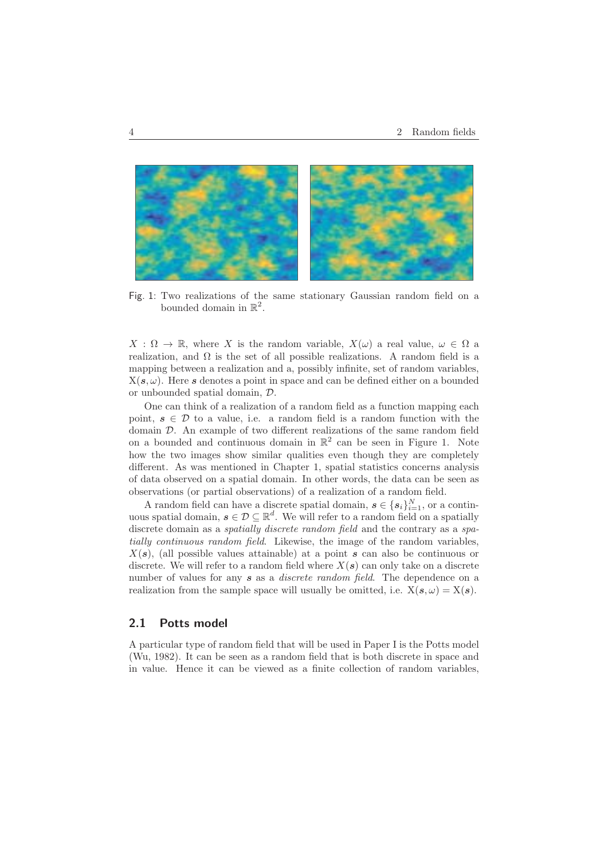

Fig. 1: Two realizations of the same stationary Gaussian random field on a bounded domain in  $\mathbb{R}^2$ .

 $X : \Omega \to \mathbb{R}$ , where X is the random variable,  $X(\omega)$  a real value,  $\omega \in \Omega$  a realization, and  $\Omega$  is the set of all possible realizations. A random field is a mapping between a realization and a, possibly infinite, set of random variables,  $X(s, \omega)$ . Here *s* denotes a point in space and can be defined either on a bounded or unbounded spatial domain, D.

One can think of a realization of a random field as a function mapping each point,  $s \in \mathcal{D}$  to a value, i.e. a random field is a random function with the domain D. An example of two different realizations of the same random field on a bounded and continuous domain in  $\mathbb{R}^2$  can be seen in Figure 1. Note how the two images show similar qualities even though they are completely different. As was mentioned in Chapter 1, spatial statistics concerns analysis of data observed on a spatial domain. In other words, the data can be seen as observations (or partial observations) of a realization of a random field.

A random field can have a discrete spatial domain,  $s \in \{s_i\}_{i=1}^N$ , or a continuous spatial domain,  $s \in \mathcal{D} \subseteq \mathbb{R}^d$ . We will refer to a random field on a spatially discrete domain as a *spatially discrete random field* and the contrary as a *spa*tially continuous random field. Likewise, the image of the random variables,  $X(s)$ , (all possible values attainable) at a point  $s$  can also be continuous or discrete. We will refer to a random field where  $X(s)$  can only take on a discrete number of values for any **s** as a *discrete random field*. The dependence on a realization from the sample space will usually be omitted, i.e.  $X(s, \omega) = X(s)$ .

## **2.1 Potts model**

A particular type of random field that will be used in Paper I is the Potts model (Wu, 1982). It can be seen as a random field that is both discrete in space and in value. Hence it can be viewed as a finite collection of random variables,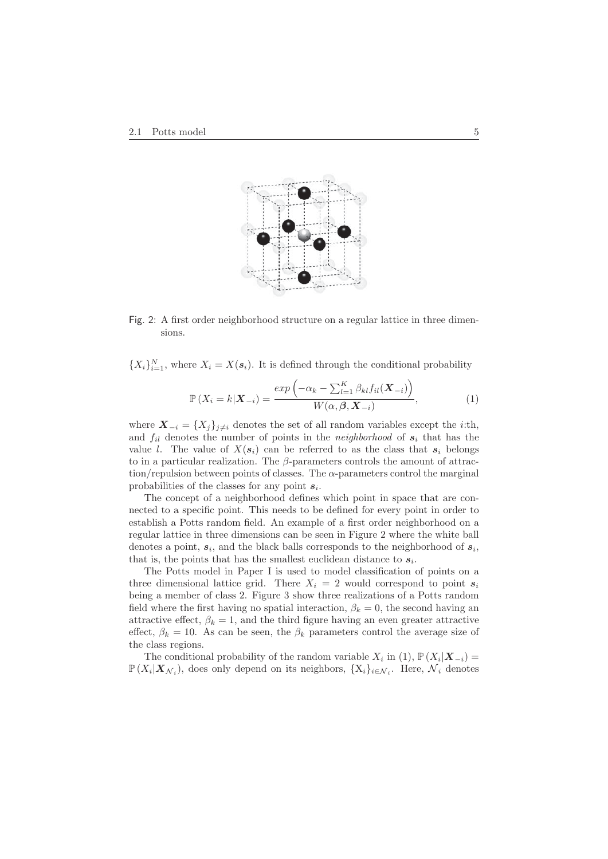

Fig. 2: A first order neighborhood structure on a regular lattice in three dimensions.

 ${X_i}_{i=1}^N$ , where  $X_i = X(s_i)$ . It is defined through the conditional probability

$$
\mathbb{P}\left(X_i = k|\mathbf{X}_{-i}\right) = \frac{\exp\left(-\alpha_k - \sum_{l=1}^K \beta_{kl} f_{il}(\mathbf{X}_{-i})\right)}{W(\alpha, \beta, \mathbf{X}_{-i})},\tag{1}
$$

where  $\mathbf{X}_{-i} = \{X_j\}_{j \neq i}$  denotes the set of all random variables except the *i*:th, and  $f_{il}$  denotes the number of points in the *neighborhood* of  $s_i$  that has the value *l*. The value of  $X(s_i)$  can be referred to as the class that  $s_i$  belongs to in a particular realization. The  $\beta$ -parameters controls the amount of attraction/repulsion between points of classes. The  $\alpha$ -parameters control the marginal probabilities of the classes for any point  $s_i$ .

The concept of a neighborhood defines which point in space that are connected to a specific point. This needs to be defined for every point in order to establish a Potts random field. An example of a first order neighborhood on a regular lattice in three dimensions can be seen in Figure 2 where the white ball denotes a point,  $s_i$ , and the black balls corresponds to the neighborhood of  $s_i$ , that is, the points that has the smallest euclidean distance to  $s_i$ .

The Potts model in Paper I is used to model classification of points on a three dimensional lattice grid. There  $X_i = 2$  would correspond to point  $s_i$ being a member of class 2. Figure 3 show three realizations of a Potts random field where the first having no spatial interaction,  $\beta_k = 0$ , the second having an attractive effect,  $\beta_k = 1$ , and the third figure having an even greater attractive effect,  $\beta_k = 10$ . As can be seen, the  $\beta_k$  parameters control the average size of the class regions.

The conditional probability of the random variable  $X_i$  in (1),  $\mathbb{P}(X_i|\mathbf{X}_{-i}) =$  $\mathbb{P}(X_i|\boldsymbol{X}_{\mathcal{N}_i})$ , does only depend on its neighbors,  $\{X_i\}_{i\in\mathcal{N}_i}$ . Here,  $\mathcal{N}_i$  denotes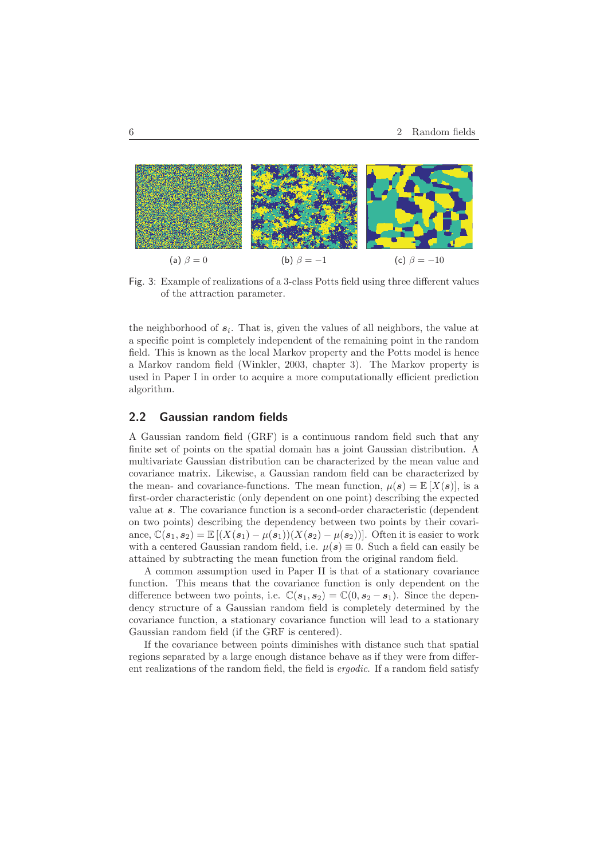

Fig. 3: Example of realizations of a 3-class Potts field using three different values of the attraction parameter.

the neighborhood of  $s_i$ . That is, given the values of all neighbors, the value at a specific point is completely independent of the remaining point in the random field. This is known as the local Markov property and the Potts model is hence a Markov random field (Winkler, 2003, chapter 3). The Markov property is used in Paper I in order to acquire a more computationally efficient prediction algorithm.

## **2.2 Gaussian random fields**

A Gaussian random field (GRF) is a continuous random field such that any finite set of points on the spatial domain has a joint Gaussian distribution. A multivariate Gaussian distribution can be characterized by the mean value and covariance matrix. Likewise, a Gaussian random field can be characterized by the mean- and covariance-functions. The mean function,  $\mu(s) = \mathbb{E}[X(s)]$ , is a first-order characteristic (only dependent on one point) describing the expected value at *s*. The covariance function is a second-order characteristic (dependent on two points) describing the dependency between two points by their covariance,  $\mathbb{C}(s_1, s_2) = \mathbb{E}[(X(s_1) - \mu(s_1))(X(s_2) - \mu(s_2))]$ . Often it is easier to work with a centered Gaussian random field, i.e.  $\mu(s) \equiv 0$ . Such a field can easily be attained by subtracting the mean function from the original random field.

A common assumption used in Paper II is that of a stationary covariance function. This means that the covariance function is only dependent on the difference between two points, i.e.  $\mathbb{C}(s_1, s_2) = \mathbb{C}(0, s_2 - s_1)$ . Since the dependency structure of a Gaussian random field is completely determined by the covariance function, a stationary covariance function will lead to a stationary Gaussian random field (if the GRF is centered).

If the covariance between points diminishes with distance such that spatial regions separated by a large enough distance behave as if they were from different realizations of the random field, the field is ergodic. If a random field satisfy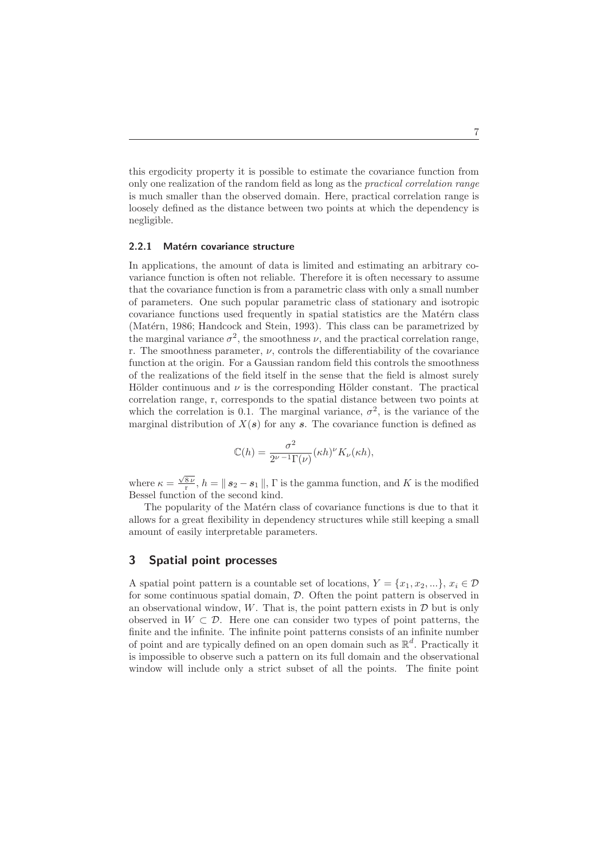this ergodicity property it is possible to estimate the covariance function from only one realization of the random field as long as the practical correlation range is much smaller than the observed domain. Here, practical correlation range is loosely defined as the distance between two points at which the dependency is negligible.

#### **2.2.1 Matérn covariance structure**

In applications, the amount of data is limited and estimating an arbitrary covariance function is often not reliable. Therefore it is often necessary to assume that the covariance function is from a parametric class with only a small number of parameters. One such popular parametric class of stationary and isotropic covariance functions used frequently in spatial statistics are the Matérn class (Matérn, 1986; Handcock and Stein, 1993). This class can be parametrized by the marginal variance  $\sigma^2$ , the smoothness  $\nu$ , and the practical correlation range, r. The smoothness parameter,  $\nu$ , controls the differentiability of the covariance function at the origin. For a Gaussian random field this controls the smoothness of the realizations of the field itself in the sense that the field is almost surely Hölder continuous and  $\nu$  is the corresponding Hölder constant. The practical correlation range, r, corresponds to the spatial distance between two points at which the correlation is 0.1. The marginal variance,  $\sigma^2$ , is the variance of the marginal distribution of  $X(s)$  for any *s*. The covariance function is defined as

$$
\mathbb{C}(h) = \frac{\sigma^2}{2^{\nu-1}\Gamma(\nu)} (\kappa h)^{\nu} K_{\nu}(\kappa h),
$$

where  $\kappa = \frac{\sqrt{8\nu}}{r}$ ,  $h = \parallel s_2 - s_1 \parallel$ ,  $\Gamma$  is the gamma function, and K is the modified Bessel function of the second kind.

The popularity of the Matérn class of covariance functions is due to that it allows for a great flexibility in dependency structures while still keeping a small amount of easily interpretable parameters.

## **3 Spatial point processes**

A spatial point pattern is a countable set of locations,  $Y = \{x_1, x_2, ...\}$ ,  $x_i \in \mathcal{D}$ for some continuous spatial domain, D. Often the point pattern is observed in an observational window,  $W$ . That is, the point pattern exists in  $D$  but is only observed in  $W \subset \mathcal{D}$ . Here one can consider two types of point patterns, the finite and the infinite. The infinite point patterns consists of an infinite number of point and are typically defined on an open domain such as  $\mathbb{R}^d$ . Practically it is impossible to observe such a pattern on its full domain and the observational window will include only a strict subset of all the points. The finite point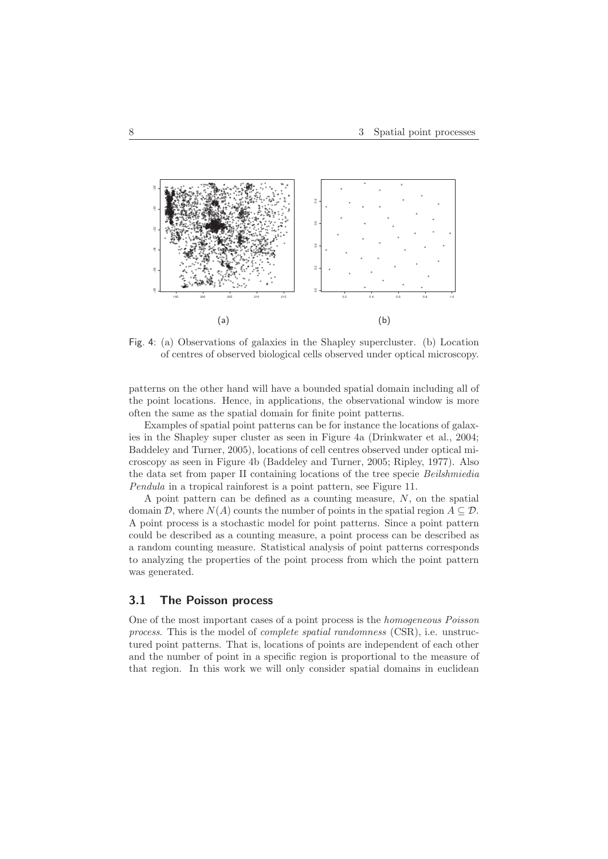

Fig. 4: (a) Observations of galaxies in the Shapley supercluster. (b) Location of centres of observed biological cells observed under optical microscopy.

patterns on the other hand will have a bounded spatial domain including all of the point locations. Hence, in applications, the observational window is more often the same as the spatial domain for finite point patterns.

Examples of spatial point patterns can be for instance the locations of galaxies in the Shapley super cluster as seen in Figure 4a (Drinkwater et al., 2004; Baddeley and Turner, 2005), locations of cell centres observed under optical microscopy as seen in Figure 4b (Baddeley and Turner, 2005; Ripley, 1977). Also the data set from paper II containing locations of the tree specie Beilshmiedia Pendula in a tropical rainforest is a point pattern, see Figure 11.

A point pattern can be defined as a counting measure, N, on the spatial domain D, where  $N(A)$  counts the number of points in the spatial region  $A \subseteq \mathcal{D}$ . A point process is a stochastic model for point patterns. Since a point pattern could be described as a counting measure, a point process can be described as a random counting measure. Statistical analysis of point patterns corresponds to analyzing the properties of the point process from which the point pattern was generated.

## **3.1 The Poisson process**

One of the most important cases of a point process is the homogeneous Poisson process. This is the model of complete spatial randomness (CSR), i.e. unstructured point patterns. That is, locations of points are independent of each other and the number of point in a specific region is proportional to the measure of that region. In this work we will only consider spatial domains in euclidean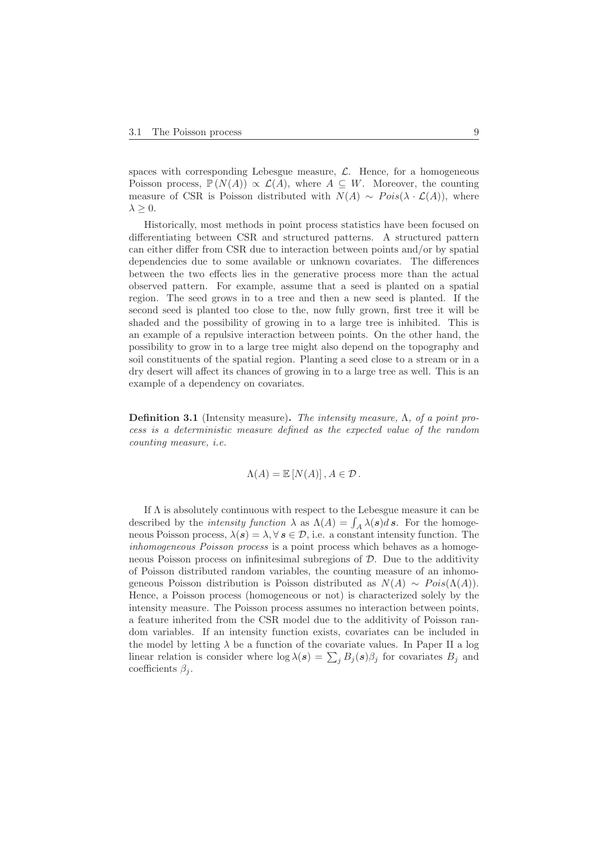spaces with corresponding Lebesgue measure,  $\mathcal{L}$ . Hence, for a homogeneous Poisson process,  $\mathbb{P}(N(A)) \propto \mathcal{L}(A)$ , where  $A \subseteq W$ . Moreover, the counting measure of CSR is Poisson distributed with  $N(A) \sim Pois(\lambda \cdot \mathcal{L}(A))$ , where  $\lambda \geq 0$ .

Historically, most methods in point process statistics have been focused on differentiating between CSR and structured patterns. A structured pattern can either differ from CSR due to interaction between points and/or by spatial dependencies due to some available or unknown covariates. The differences between the two effects lies in the generative process more than the actual observed pattern. For example, assume that a seed is planted on a spatial region. The seed grows in to a tree and then a new seed is planted. If the second seed is planted too close to the, now fully grown, first tree it will be shaded and the possibility of growing in to a large tree is inhibited. This is an example of a repulsive interaction between points. On the other hand, the possibility to grow in to a large tree might also depend on the topography and soil constituents of the spatial region. Planting a seed close to a stream or in a dry desert will affect its chances of growing in to a large tree as well. This is an example of a dependency on covariates.

**Definition 3.1** (Intensity measure)**.** The intensity measure, Λ, of a point process is a deterministic measure defined as the expected value of the random counting measure, i.e.

$$
\Lambda(A) = \mathbb{E}\left[N(A)\right], A \in \mathcal{D}.
$$

If  $\Lambda$  is absolutely continuous with respect to the Lebesgue measure it can be described by the *intensity function*  $\lambda$  as  $\Lambda(A) = \int_A \lambda(s)ds$ . For the homogeneous Poisson process,  $\lambda(s) = \lambda, \forall s \in \mathcal{D}$ , i.e. a constant intensity function. The inhomogeneous Poisson process is a point process which behaves as a homogeneous Poisson process on infinitesimal subregions of  $D$ . Due to the additivity of Poisson distributed random variables, the counting measure of an inhomogeneous Poisson distribution is Poisson distributed as  $N(A) \sim Pois(\Lambda(A)).$ Hence, a Poisson process (homogeneous or not) is characterized solely by the intensity measure. The Poisson process assumes no interaction between points, a feature inherited from the CSR model due to the additivity of Poisson random variables. If an intensity function exists, covariates can be included in the model by letting  $\lambda$  be a function of the covariate values. In Paper II a log linear relation is consider where  $\log \lambda(s) = \sum_{i} B_{i}(s) \beta_{i}$  for covariates  $B_{i}$  and coefficients  $\beta_j$ .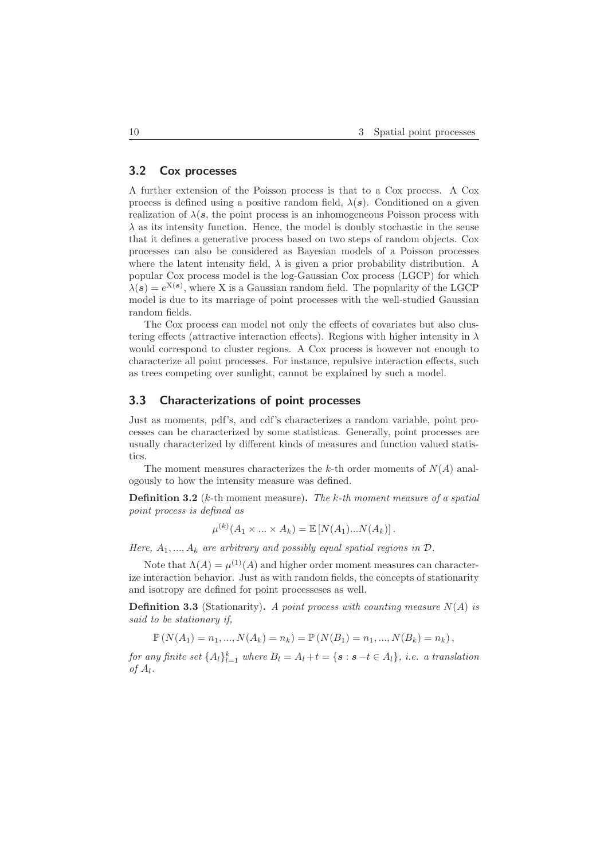### **3.2 Cox processes**

A further extension of the Poisson process is that to a Cox process. A Cox process is defined using a positive random field,  $\lambda(s)$ . Conditioned on a given realization of  $\lambda(s, s)$ , the point process is an inhomogeneous Poisson process with  $\lambda$  as its intensity function. Hence, the model is doubly stochastic in the sense that it defines a generative process based on two steps of random objects. Cox processes can also be considered as Bayesian models of a Poisson processes where the latent intensity field,  $\lambda$  is given a prior probability distribution. A popular Cox process model is the log-Gaussian Cox process (LGCP) for which  $\lambda(s) = e^{X(s)}$ , where X is a Gaussian random field. The popularity of the LGCP model is due to its marriage of point processes with the well-studied Gaussian random fields.

The Cox process can model not only the effects of covariates but also clustering effects (attractive interaction effects). Regions with higher intensity in  $\lambda$ would correspond to cluster regions. A Cox process is however not enough to characterize all point processes. For instance, repulsive interaction effects, such as trees competing over sunlight, cannot be explained by such a model.

## **3.3 Characterizations of point processes**

Just as moments, pdf's, and cdf's characterizes a random variable, point processes can be characterized by some statisticas. Generally, point processes are usually characterized by different kinds of measures and function valued statistics.

The moment measures characterizes the k-th order moments of  $N(A)$  analogously to how the intensity measure was defined.

**Definition 3.2** (k-th moment measure)**.** The k-th moment measure of a spatial point process is defined as

$$
\mu^{(k)}(A_1 \times \ldots \times A_k) = \mathbb{E}\left[N(A_1) \ldots N(A_k)\right].
$$

Here,  $A_1, ..., A_k$  are arbitrary and possibly equal spatial regions in  $\mathcal{D}$ .

Note that  $\Lambda(A) = \mu^{(1)}(A)$  and higher order moment measures can characterize interaction behavior. Just as with random fields, the concepts of stationarity and isotropy are defined for point processeses as well.

**Definition 3.3** (Stationarity). A point process with counting measure  $N(A)$  is said to be stationary if,

 $\mathbb{P}(N(A_1) = n_1, ..., N(A_k) = n_k) = \mathbb{P}(N(B_1) = n_1, ..., N(B_k) = n_k),$ 

for any finite set  $\{A_l\}_{l=1}^k$  where  $B_l = A_l + t = \{s : s - t \in A_l\}$ , i.e. a translation of  $A_l$ .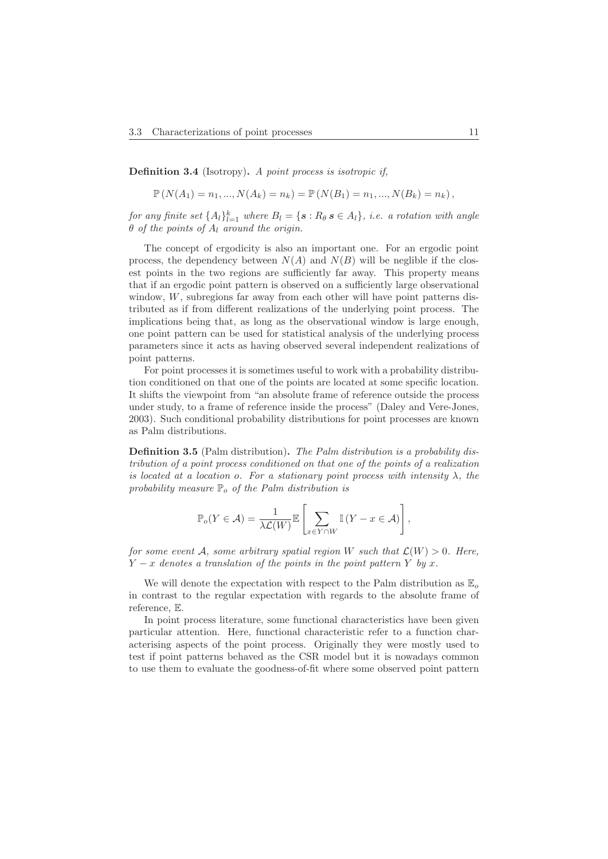**Definition 3.4** (Isotropy)**.** A point process is isotropic if,

$$
\mathbb{P}(N(A_1) = n_1, ..., N(A_k) = n_k) = \mathbb{P}(N(B_1) = n_1, ..., N(B_k) = n_k),
$$

for any finite set  $\{A_l\}_{l=1}^k$  where  $B_l = \{s : R_\theta s \in A_l\}$ , i.e. a rotation with angle  $\theta$  of the points of  $A_l$  around the origin.

The concept of ergodicity is also an important one. For an ergodic point process, the dependency between  $N(A)$  and  $N(B)$  will be neglible if the closest points in the two regions are sufficiently far away. This property means that if an ergodic point pattern is observed on a sufficiently large observational window,  $W$ , subregions far away from each other will have point patterns distributed as if from different realizations of the underlying point process. The implications being that, as long as the observational window is large enough, one point pattern can be used for statistical analysis of the underlying process parameters since it acts as having observed several independent realizations of point patterns.

For point processes it is sometimes useful to work with a probability distribution conditioned on that one of the points are located at some specific location. It shifts the viewpoint from "an absolute frame of reference outside the process under study, to a frame of reference inside the process" (Daley and Vere-Jones, 2003). Such conditional probability distributions for point processes are known as Palm distributions.

**Definition 3.5** (Palm distribution)**.** The Palm distribution is a probability distribution of a point process conditioned on that one of the points of a realization is located at a location o. For a stationary point process with intensity  $\lambda$ , the probability measure  $\mathbb{P}_{\alpha}$  of the Palm distribution is

$$
\mathbb{P}_o(Y \in \mathcal{A}) = \frac{1}{\lambda \mathcal{L}(W)} \mathbb{E} \left[ \sum_{x \in Y \cap W} \mathbb{I}(Y - x \in \mathcal{A}) \right],
$$

for some event A, some arbitrary spatial region W such that  $\mathcal{L}(W) > 0$ . Here,  $Y - x$  denotes a translation of the points in the point pattern Y by x.

We will denote the expectation with respect to the Palm distribution as  $\mathbb{E}_{o}$ in contrast to the regular expectation with regards to the absolute frame of reference, E.

In point process literature, some functional characteristics have been given particular attention. Here, functional characteristic refer to a function characterising aspects of the point process. Originally they were mostly used to test if point patterns behaved as the CSR model but it is nowadays common to use them to evaluate the goodness-of-fit where some observed point pattern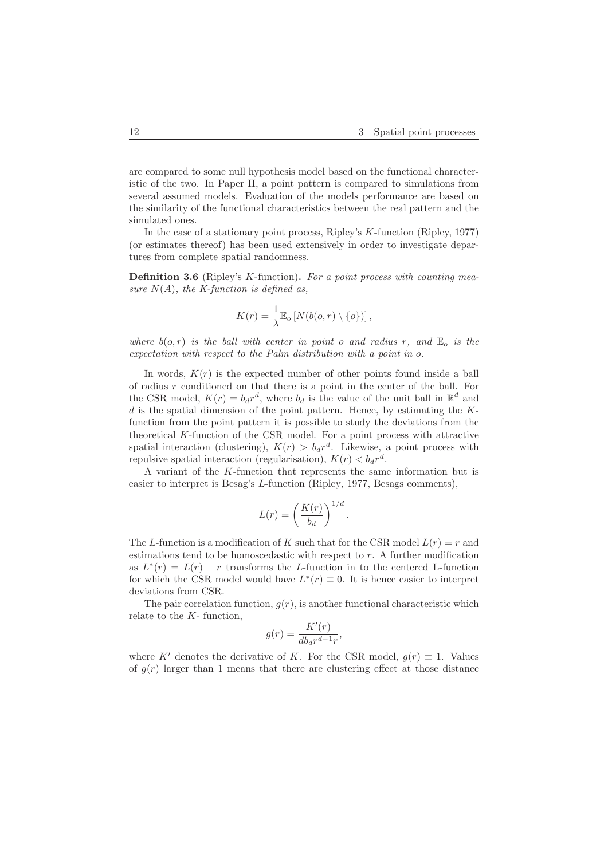are compared to some null hypothesis model based on the functional characteristic of the two. In Paper II, a point pattern is compared to simulations from several assumed models. Evaluation of the models performance are based on the similarity of the functional characteristics between the real pattern and the simulated ones.

In the case of a stationary point process, Ripley's K-function (Ripley, 1977) (or estimates thereof) has been used extensively in order to investigate departures from complete spatial randomness.

**Definition 3.6** (Ripley's K-function). For a point process with counting measure  $N(A)$ , the K-function is defined as,

$$
K(r) = \frac{1}{\lambda} \mathbb{E}_o \left[ N(b(o, r) \setminus \{o\}) \right],
$$

where  $b(o, r)$  is the ball with center in point o and radius r, and  $\mathbb{E}_o$  is the expectation with respect to the Palm distribution with a point in o.

In words,  $K(r)$  is the expected number of other points found inside a ball of radius  $r$  conditioned on that there is a point in the center of the ball. For the CSR model,  $K(r) = b_d r^d$ , where  $b_d$  is the value of the unit ball in  $\mathbb{R}^d$  and  $d$  is the spatial dimension of the point pattern. Hence, by estimating the  $K$ function from the point pattern it is possible to study the deviations from the theoretical  $K$ -function of the CSR model. For a point process with attractive spatial interaction (clustering),  $K(r) > b_d r^d$ . Likewise, a point process with repulsive spatial interaction (regularisation),  $K(r) < b_d r^d$ .

A variant of the K-function that represents the same information but is easier to interpret is Besag's L-function (Ripley, 1977, Besags comments),

$$
L(r) = \left(\frac{K(r)}{b_d}\right)^{1/d}.
$$

The L-function is a modification of K such that for the CSR model  $L(r) = r$  and estimations tend to be homoscedastic with respect to r. A further modification as  $L^*(r) = L(r) - r$  transforms the L-function in to the centered L-function for which the CSR model would have  $L^*(r) \equiv 0$ . It is hence easier to interpret deviations from CSR.

The pair correlation function,  $g(r)$ , is another functional characteristic which relate to the  $K$ - function,

$$
g(r) = \frac{K'(r)}{db_d r^{d-1}r},
$$

where K' denotes the derivative of K. For the CSR model,  $g(r) \equiv 1$ . Values of  $g(r)$  larger than 1 means that there are clustering effect at those distance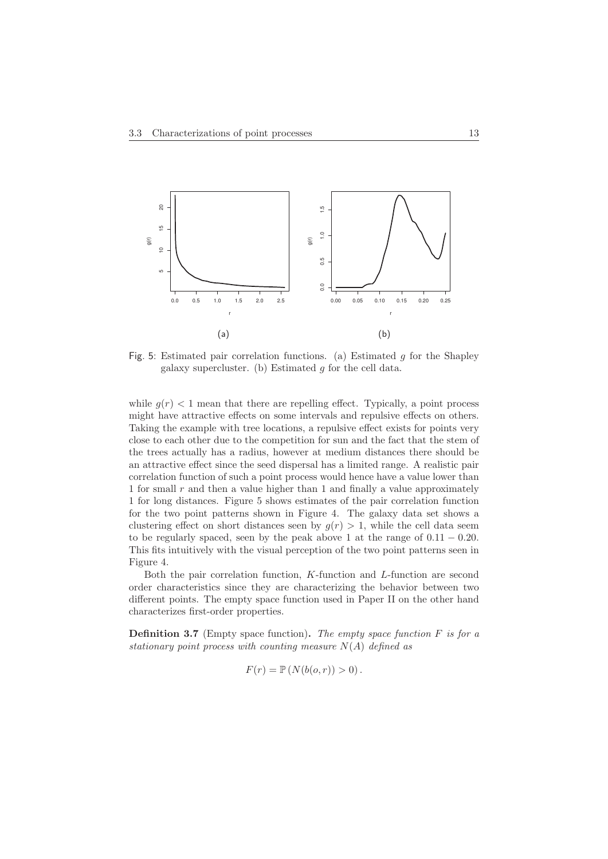

Fig. 5: Estimated pair correlation functions. (a) Estimated  $g$  for the Shapley galaxy supercluster. (b) Estimated  $g$  for the cell data.

while  $g(r)$  < 1 mean that there are repelling effect. Typically, a point process might have attractive effects on some intervals and repulsive effects on others. Taking the example with tree locations, a repulsive effect exists for points very close to each other due to the competition for sun and the fact that the stem of the trees actually has a radius, however at medium distances there should be an attractive effect since the seed dispersal has a limited range. A realistic pair correlation function of such a point process would hence have a value lower than 1 for small  $r$  and then a value higher than 1 and finally a value approximately 1 for long distances. Figure 5 shows estimates of the pair correlation function for the two point patterns shown in Figure 4. The galaxy data set shows a clustering effect on short distances seen by  $g(r) > 1$ , while the cell data seem to be regularly spaced, seen by the peak above 1 at the range of  $0.11 - 0.20$ . This fits intuitively with the visual perception of the two point patterns seen in Figure 4.

Both the pair correlation function, K-function and L-function are second order characteristics since they are characterizing the behavior between two different points. The empty space function used in Paper II on the other hand characterizes first-order properties.

**Definition 3.7** (Empty space function). The empty space function  $F$  is for a stationary point process with counting measure  $N(A)$  defined as

$$
F(r) = \mathbb{P}\left(N(b(o,r)) > 0\right).
$$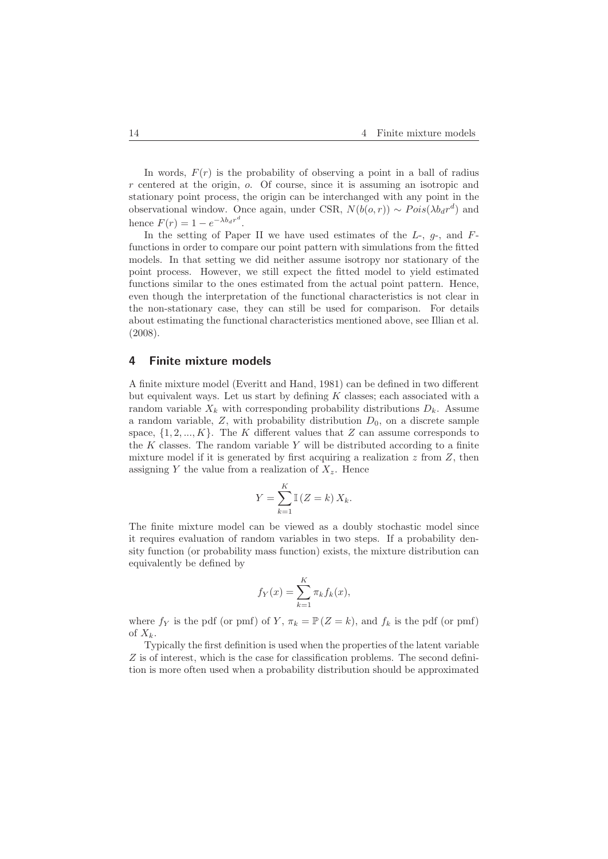In words,  $F(r)$  is the probability of observing a point in a ball of radius r centered at the origin, o. Of course, since it is assuming an isotropic and stationary point process, the origin can be interchanged with any point in the observational window. Once again, under CSR,  $N(b(o, r)) \sim Pois(\lambda b_d r^d)$  and hence  $F(r) = 1 - e^{-\lambda b_d r^d}$ .

In the setting of Paper II we have used estimates of the  $L$ -,  $g$ -, and  $F$ functions in order to compare our point pattern with simulations from the fitted models. In that setting we did neither assume isotropy nor stationary of the point process. However, we still expect the fitted model to yield estimated functions similar to the ones estimated from the actual point pattern. Hence, even though the interpretation of the functional characteristics is not clear in the non-stationary case, they can still be used for comparison. For details about estimating the functional characteristics mentioned above, see Illian et al. (2008).

#### **4 Finite mixture models**

A finite mixture model (Everitt and Hand, 1981) can be defined in two different but equivalent ways. Let us start by defining  $K$  classes; each associated with a random variable  $X_k$  with corresponding probability distributions  $D_k$ . Assume a random variable,  $Z$ , with probability distribution  $D_0$ , on a discrete sample space,  $\{1, 2, ..., K\}$ . The K different values that Z can assume corresponds to the  $K$  classes. The random variable  $Y$  will be distributed according to a finite mixture model if it is generated by first acquiring a realization  $z$  from  $Z$ , then assigning Y the value from a realization of  $X_z$ . Hence

$$
Y = \sum_{k=1}^{K} \mathbb{I} (Z = k) X_k.
$$

The finite mixture model can be viewed as a doubly stochastic model since it requires evaluation of random variables in two steps. If a probability density function (or probability mass function) exists, the mixture distribution can equivalently be defined by

$$
f_Y(x) = \sum_{k=1}^K \pi_k f_k(x),
$$

where  $f_Y$  is the pdf (or pmf) of Y,  $\pi_k = \mathbb{P}(Z = k)$ , and  $f_k$  is the pdf (or pmf) of  $X_k$ .

Typically the first definition is used when the properties of the latent variable Z is of interest, which is the case for classification problems. The second definition is more often used when a probability distribution should be approximated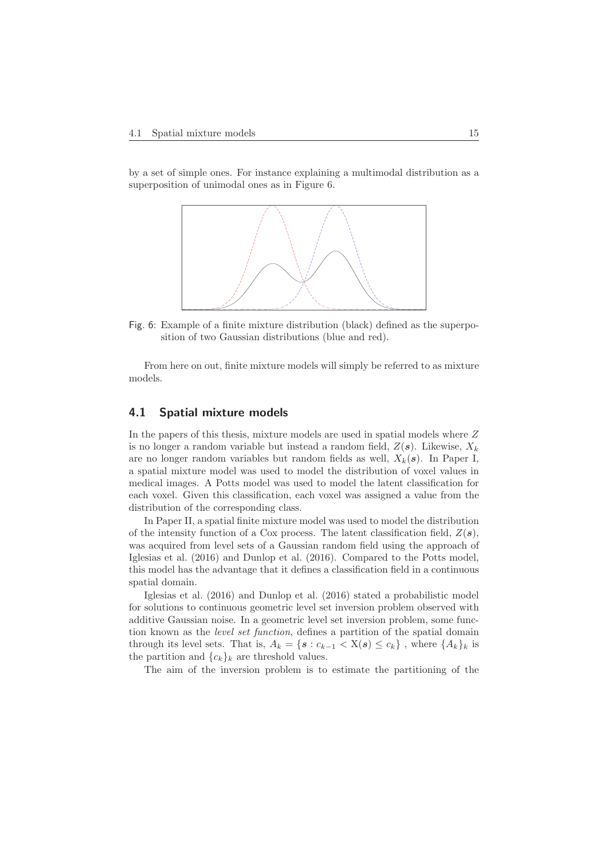by a set of simple ones. For instance explaining a multimodal distribution as a superposition of unimodal ones as in Figure 6.



Fig. 6: Example of a finite mixture distribution (black) defined as the superposition of two Gaussian distributions (blue and red).

From here on out, finite mixture models will simply be referred to as mixture models.

### **4.1 Spatial mixture models**

In the papers of this thesis, mixture models are used in spatial models where Z is no longer a random variable but instead a random field,  $Z(s)$ . Likewise,  $X_k$ are no longer random variables but random fields as well,  $X_k(s)$ . In Paper I, a spatial mixture model was used to model the distribution of voxel values in medical images. A Potts model was used to model the latent classification for each voxel. Given this classification, each voxel was assigned a value from the distribution of the corresponding class.

In Paper II, a spatial finite mixture model was used to model the distribution of the intensity function of a Cox process. The latent classification field, Z(*s*), was acquired from level sets of a Gaussian random field using the approach of Iglesias et al. (2016) and Dunlop et al. (2016). Compared to the Potts model, this model has the advantage that it defines a classification field in a continuous spatial domain.

Iglesias et al. (2016) and Dunlop et al. (2016) stated a probabilistic model for solutions to continuous geometric level set inversion problem observed with additive Gaussian noise. In a geometric level set inversion problem, some function known as the level set function, defines a partition of the spatial domain through its level sets. That is,  $A_k = \{s : c_{k-1} < X(s) \leq c_k\}$ , where  $\{A_k\}_k$  is the partition and  ${c_k}_k$  are threshold values.

The aim of the inversion problem is to estimate the partitioning of the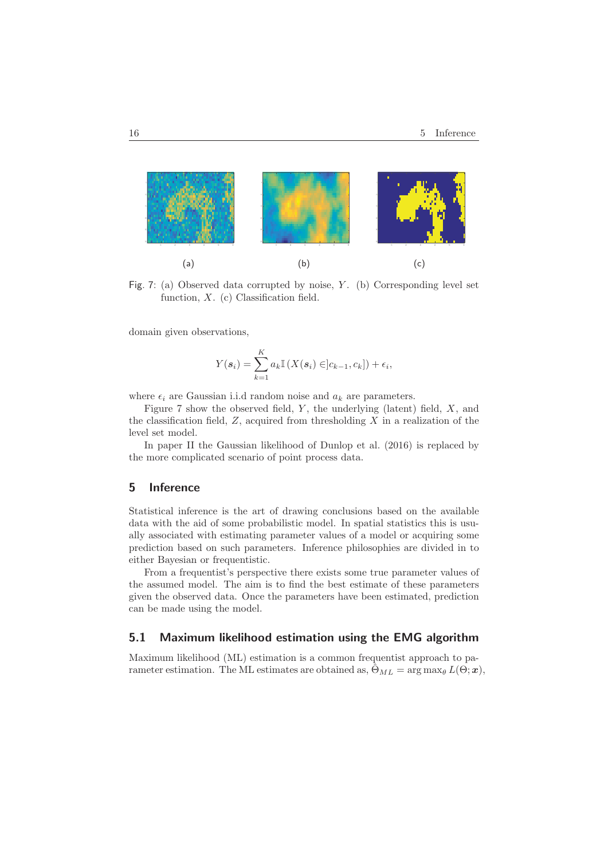

Fig. 7: (a) Observed data corrupted by noise,  $Y$ . (b) Corresponding level set function,  $X$ . (c) Classification field.

domain given observations,

$$
Y(\boldsymbol{s}_i) = \sum_{k=1}^K a_k \mathbb{I}\left(X(\boldsymbol{s}_i) \in ]c_{k-1}, c_k]\right) + \epsilon_i,
$$

where  $\epsilon_i$  are Gaussian i.i.d random noise and  $a_k$  are parameters.

Figure 7 show the observed field,  $Y$ , the underlying (latent) field,  $X$ , and the classification field,  $Z$ , acquired from thresholding  $X$  in a realization of the level set model.

In paper II the Gaussian likelihood of Dunlop et al. (2016) is replaced by the more complicated scenario of point process data.

## **5 Inference**

Statistical inference is the art of drawing conclusions based on the available data with the aid of some probabilistic model. In spatial statistics this is usually associated with estimating parameter values of a model or acquiring some prediction based on such parameters. Inference philosophies are divided in to either Bayesian or frequentistic.

From a frequentist's perspective there exists some true parameter values of the assumed model. The aim is to find the best estimate of these parameters given the observed data. Once the parameters have been estimated, prediction can be made using the model.

## **5.1 Maximum likelihood estimation using the EMG algorithm**

Maximum likelihood (ML) estimation is a common frequentist approach to parameter estimation. The ML estimates are obtained as,  $\hat{\Theta}_{ML} = \arg \max_{\theta} L(\Theta; \boldsymbol{x}),$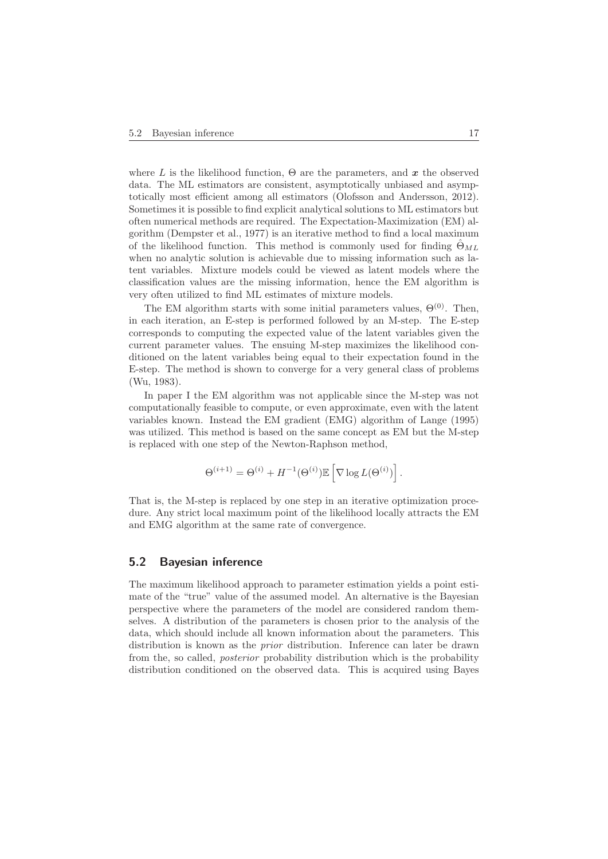where L is the likelihood function,  $\Theta$  are the parameters, and  $\boldsymbol{x}$  the observed data. The ML estimators are consistent, asymptotically unbiased and asymptotically most efficient among all estimators (Olofsson and Andersson, 2012). Sometimes it is possible to find explicit analytical solutions to ML estimators but often numerical methods are required. The Expectation-Maximization (EM) algorithm (Dempster et al., 1977) is an iterative method to find a local maximum of the likelihood function. This method is commonly used for finding  $\hat{\Theta}_{ML}$ when no analytic solution is achievable due to missing information such as latent variables. Mixture models could be viewed as latent models where the classification values are the missing information, hence the EM algorithm is very often utilized to find ML estimates of mixture models.

The EM algorithm starts with some initial parameters values,  $\Theta^{(0)}$ . Then, in each iteration, an E-step is performed followed by an M-step. The E-step corresponds to computing the expected value of the latent variables given the current parameter values. The ensuing M-step maximizes the likelihood conditioned on the latent variables being equal to their expectation found in the E-step. The method is shown to converge for a very general class of problems (Wu, 1983).

In paper I the EM algorithm was not applicable since the M-step was not computationally feasible to compute, or even approximate, even with the latent variables known. Instead the EM gradient (EMG) algorithm of Lange (1995) was utilized. This method is based on the same concept as EM but the M-step is replaced with one step of the Newton-Raphson method,

$$
\Theta^{(i+1)} = \Theta^{(i)} + H^{-1}(\Theta^{(i)}) \mathbb{E}\left[\nabla \log L(\Theta^{(i)})\right].
$$

That is, the M-step is replaced by one step in an iterative optimization procedure. Any strict local maximum point of the likelihood locally attracts the EM and EMG algorithm at the same rate of convergence.

#### **5.2 Bayesian inference**

The maximum likelihood approach to parameter estimation yields a point estimate of the "true" value of the assumed model. An alternative is the Bayesian perspective where the parameters of the model are considered random themselves. A distribution of the parameters is chosen prior to the analysis of the data, which should include all known information about the parameters. This distribution is known as the prior distribution. Inference can later be drawn from the, so called, posterior probability distribution which is the probability distribution conditioned on the observed data. This is acquired using Bayes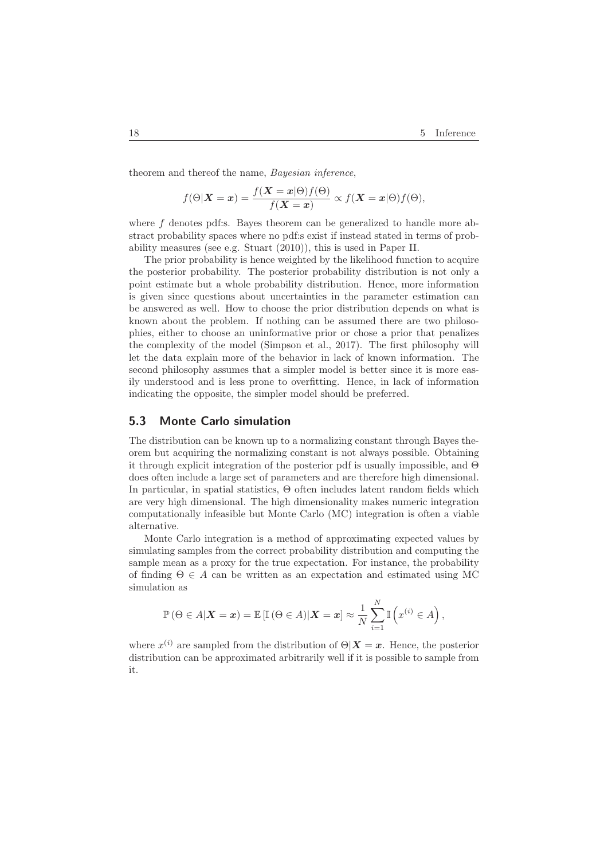theorem and thereof the name, Bayesian inference,

$$
f(\Theta|\mathbf{X}=\mathbf{x}) = \frac{f(\mathbf{X}=\mathbf{x}|\Theta)f(\Theta)}{f(\mathbf{X}=\mathbf{x})} \propto f(\mathbf{X}=\mathbf{x}|\Theta)f(\Theta),
$$

where f denotes pdf:s. Bayes theorem can be generalized to handle more abstract probability spaces where no pdf:s exist if instead stated in terms of probability measures (see e.g. Stuart (2010)), this is used in Paper II.

The prior probability is hence weighted by the likelihood function to acquire the posterior probability. The posterior probability distribution is not only a point estimate but a whole probability distribution. Hence, more information is given since questions about uncertainties in the parameter estimation can be answered as well. How to choose the prior distribution depends on what is known about the problem. If nothing can be assumed there are two philosophies, either to choose an uninformative prior or chose a prior that penalizes the complexity of the model (Simpson et al., 2017). The first philosophy will let the data explain more of the behavior in lack of known information. The second philosophy assumes that a simpler model is better since it is more easily understood and is less prone to overfitting. Hence, in lack of information indicating the opposite, the simpler model should be preferred.

## **5.3 Monte Carlo simulation**

The distribution can be known up to a normalizing constant through Bayes theorem but acquiring the normalizing constant is not always possible. Obtaining it through explicit integration of the posterior pdf is usually impossible, and Θ does often include a large set of parameters and are therefore high dimensional. In particular, in spatial statistics, Θ often includes latent random fields which are very high dimensional. The high dimensionality makes numeric integration computationally infeasible but Monte Carlo (MC) integration is often a viable alternative.

Monte Carlo integration is a method of approximating expected values by simulating samples from the correct probability distribution and computing the sample mean as a proxy for the true expectation. For instance, the probability of finding  $\Theta \in A$  can be written as an expectation and estimated using MC simulation as

$$
\mathbb{P}\left(\Theta \in A | \mathbf{X} = \mathbf{x}\right) = \mathbb{E}\left[\mathbb{I}\left(\Theta \in A\right) | \mathbf{X} = \mathbf{x}\right] \approx \frac{1}{N} \sum_{i=1}^{N} \mathbb{I}\left(x^{(i)} \in A\right),
$$

where  $x^{(i)}$  are sampled from the distribution of  $\Theta|\mathbf{X}=\mathbf{x}$ . Hence, the posterior distribution can be approximated arbitrarily well if it is possible to sample from it.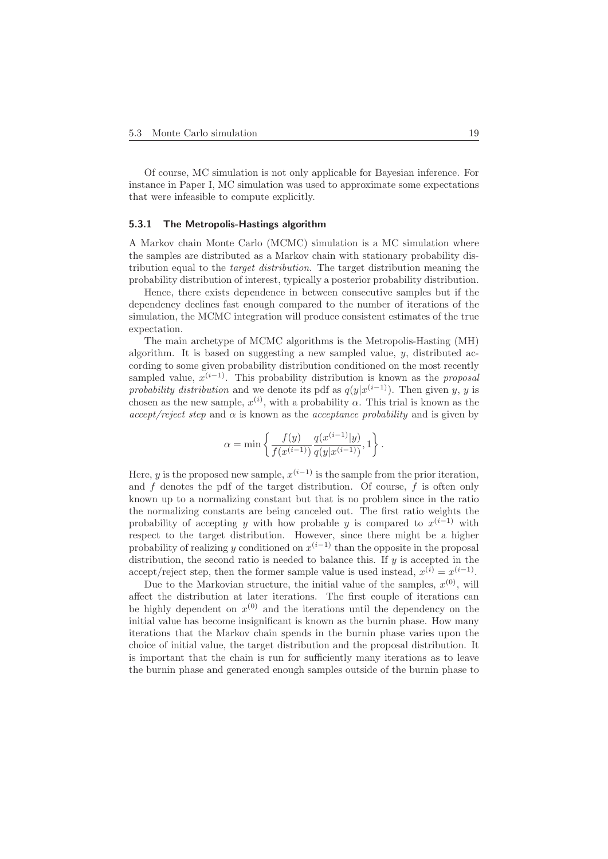Of course, MC simulation is not only applicable for Bayesian inference. For instance in Paper I, MC simulation was used to approximate some expectations that were infeasible to compute explicitly.

#### **5.3.1 The Metropolis-Hastings algorithm**

A Markov chain Monte Carlo (MCMC) simulation is a MC simulation where the samples are distributed as a Markov chain with stationary probability distribution equal to the target distribution. The target distribution meaning the probability distribution of interest, typically a posterior probability distribution.

Hence, there exists dependence in between consecutive samples but if the dependency declines fast enough compared to the number of iterations of the simulation, the MCMC integration will produce consistent estimates of the true expectation.

The main archetype of MCMC algorithms is the Metropolis-Hasting (MH) algorithm. It is based on suggesting a new sampled value,  $y$ , distributed according to some given probability distribution conditioned on the most recently sampled value,  $\tilde{x}^{(i-1)}$ . This probability distribution is known as the *proposal probability distribution* and we denote its pdf as  $q(y|x^{(i-1)})$ . Then given y, y is chosen as the new sample,  $x^{(i)}$ , with a probability  $\alpha$ . This trial is known as the  $accept/reject step$  and  $\alpha$  is known as the *acceptance probability* and is given by

$$
\alpha = \min \left\{ \frac{f(y)}{f(x^{(i-1)})} \frac{q(x^{(i-1)}|y)}{q(y|x^{(i-1)})}, 1 \right\}.
$$

Here, y is the proposed new sample,  $x^{(i-1)}$  is the sample from the prior iteration, and  $f$  denotes the pdf of the target distribution. Of course,  $f$  is often only known up to a normalizing constant but that is no problem since in the ratio the normalizing constants are being canceled out. The first ratio weights the probability of accepting y with how probable y is compared to  $x^{(i-1)}$  with respect to the target distribution. However, since there might be a higher probability of realizing y conditioned on  $x^{(i-1)}$  than the opposite in the proposal distribution, the second ratio is needed to balance this. If  $y$  is accepted in the accept/reject step, then the former sample value is used instead,  $x^{(i)} = x^{(i-1)}$ .

Due to the Markovian structure, the initial value of the samples,  $x^{(0)}$ , will affect the distribution at later iterations. The first couple of iterations can be highly dependent on  $x^{(0)}$  and the iterations until the dependency on the initial value has become insignificant is known as the burnin phase. How many iterations that the Markov chain spends in the burnin phase varies upon the choice of initial value, the target distribution and the proposal distribution. It is important that the chain is run for sufficiently many iterations as to leave the burnin phase and generated enough samples outside of the burnin phase to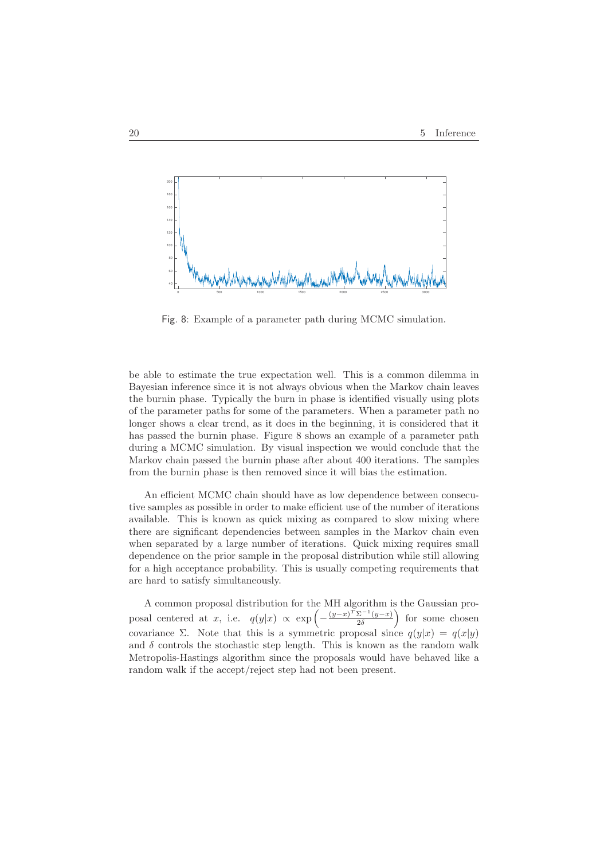

Fig. 8: Example of a parameter path during MCMC simulation.

be able to estimate the true expectation well. This is a common dilemma in Bayesian inference since it is not always obvious when the Markov chain leaves the burnin phase. Typically the burn in phase is identified visually using plots of the parameter paths for some of the parameters. When a parameter path no longer shows a clear trend, as it does in the beginning, it is considered that it has passed the burnin phase. Figure 8 shows an example of a parameter path during a MCMC simulation. By visual inspection we would conclude that the Markov chain passed the burnin phase after about 400 iterations. The samples from the burnin phase is then removed since it will bias the estimation.

An efficient MCMC chain should have as low dependence between consecutive samples as possible in order to make efficient use of the number of iterations available. This is known as quick mixing as compared to slow mixing where there are significant dependencies between samples in the Markov chain even when separated by a large number of iterations. Quick mixing requires small dependence on the prior sample in the proposal distribution while still allowing for a high acceptance probability. This is usually competing requirements that are hard to satisfy simultaneously.

A common proposal distribution for the MH algorithm is the Gaussian proposal centered at x, i.e.  $q(y|x) \propto \exp\left(-\frac{(y-x)^{\widetilde{T}}\Sigma^{-1}(y-x)}{2\delta}\right)$  for some chosen covariance Σ. Note that this is a symmetric proposal since  $q(y|x) = q(x|y)$ and  $\delta$  controls the stochastic step length. This is known as the random walk Metropolis-Hastings algorithm since the proposals would have behaved like a random walk if the accept/reject step had not been present.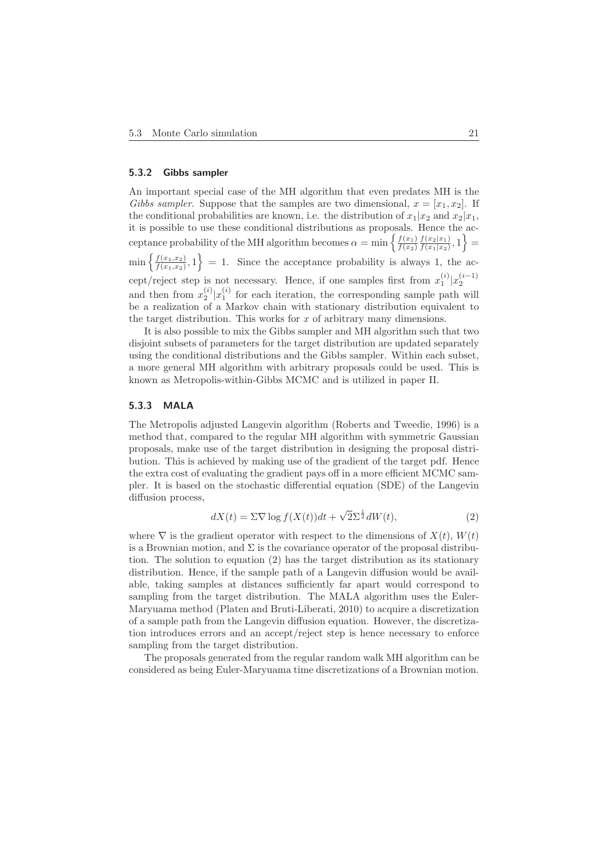#### **5.3.2 Gibbs sampler**

An important special case of the MH algorithm that even predates MH is the Gibbs sampler. Suppose that the samples are two dimensional,  $x = [x_1, x_2]$ . If the conditional probabilities are known, i.e. the distribution of  $x_1|x_2$  and  $x_2|x_1$ , it is possible to use these conditional distributions as proposals. Hence the acceptance probability of the MH algorithm becomes  $\alpha = \min\left\{\frac{f(x_1)}{f(x_2)} \frac{f(x_2|x_1)}{f(x_1|x_2)}, 1\right\}$  $\min\left\{\frac{f(x_1,x_2)}{f(x_1,x_2)},1\right\} = 1.$  Since the acceptance probability is always 1, the accept/reject step is not necessary. Hence, if one samples first from  $x_1^{(i)} | x_2^{(i-1)}$ and then from  $x_2^{(i)}|x_1^{(i)}$  for each iteration, the corresponding sample path will be a realization of a Markov chain with stationary distribution equivalent to the target distribution. This works for  $x$  of arbitrary many dimensions.

It is also possible to mix the Gibbs sampler and MH algorithm such that two disjoint subsets of parameters for the target distribution are updated separately using the conditional distributions and the Gibbs sampler. Within each subset, a more general MH algorithm with arbitrary proposals could be used. This is known as Metropolis-within-Gibbs MCMC and is utilized in paper II.

#### **5.3.3 MALA**

The Metropolis adjusted Langevin algorithm (Roberts and Tweedie, 1996) is a method that, compared to the regular MH algorithm with symmetric Gaussian proposals, make use of the target distribution in designing the proposal distribution. This is achieved by making use of the gradient of the target pdf. Hence the extra cost of evaluating the gradient pays off in a more efficient MCMC sampler. It is based on the stochastic differential equation (SDE) of the Langevin diffusion process,

$$
dX(t) = \Sigma \nabla \log f(X(t))dt + \sqrt{2}\Sigma^{\frac{1}{2}}dW(t),\tag{2}
$$

where  $\nabla$  is the gradient operator with respect to the dimensions of  $X(t)$ ,  $W(t)$ is a Brownian motion, and  $\Sigma$  is the covariance operator of the proposal distribution. The solution to equation (2) has the target distribution as its stationary distribution. Hence, if the sample path of a Langevin diffusion would be available, taking samples at distances sufficiently far apart would correspond to sampling from the target distribution. The MALA algorithm uses the Euler-Maryuama method (Platen and Bruti-Liberati, 2010) to acquire a discretization of a sample path from the Langevin diffusion equation. However, the discretization introduces errors and an accept/reject step is hence necessary to enforce sampling from the target distribution.

The proposals generated from the regular random walk MH algorithm can be considered as being Euler-Maryuama time discretizations of a Brownian motion.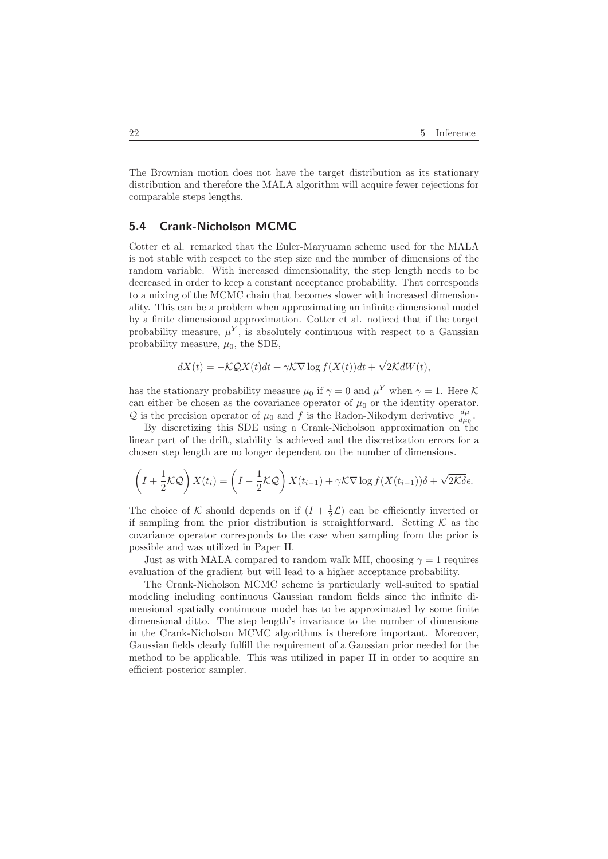The Brownian motion does not have the target distribution as its stationary distribution and therefore the MALA algorithm will acquire fewer rejections for comparable steps lengths.

## **5.4 Crank-Nicholson MCMC**

Cotter et al. remarked that the Euler-Maryuama scheme used for the MALA is not stable with respect to the step size and the number of dimensions of the random variable. With increased dimensionality, the step length needs to be decreased in order to keep a constant acceptance probability. That corresponds to a mixing of the MCMC chain that becomes slower with increased dimensionality. This can be a problem when approximating an infinite dimensional model by a finite dimensional approximation. Cotter et al. noticed that if the target probability measure,  $\mu^{Y}$ , is absolutely continuous with respect to a Gaussian probability measure,  $\mu_0$ , the SDE,

$$
dX(t) = -\mathcal{K}\mathcal{Q}X(t)dt + \gamma \mathcal{K}\nabla \log f(X(t))dt + \sqrt{2\mathcal{K}}dW(t),
$$

has the stationary probability measure  $\mu_0$  if  $\gamma = 0$  and  $\mu^Y$  when  $\gamma = 1$ . Here K can either be chosen as the covariance operator of  $\mu_0$  or the identity operator. Q is the precision operator of  $\mu_0$  and f is the Radon-Nikodym derivative  $\frac{d\mu}{d\mu_0}$ .

By discretizing this SDE using a Crank-Nicholson approximation on the linear part of the drift, stability is achieved and the discretization errors for a chosen step length are no longer dependent on the number of dimensions.

$$
\left(I + \frac{1}{2}\mathcal{KQ}\right)X(t_i) = \left(I - \frac{1}{2}\mathcal{KQ}\right)X(t_{i-1}) + \gamma\mathcal{K}\nabla\log f(X(t_{i-1}))\delta + \sqrt{2\mathcal{K}\delta}\epsilon.
$$

The choice of K should depends on if  $(I + \frac{1}{2}\mathcal{L})$  can be efficiently inverted or if sampling from the prior distribution is straightforward. Setting  $K$  as the covariance operator corresponds to the case when sampling from the prior is possible and was utilized in Paper II.

Just as with MALA compared to random walk MH, choosing  $\gamma = 1$  requires evaluation of the gradient but will lead to a higher acceptance probability.

The Crank-Nicholson MCMC scheme is particularly well-suited to spatial modeling including continuous Gaussian random fields since the infinite dimensional spatially continuous model has to be approximated by some finite dimensional ditto. The step length's invariance to the number of dimensions in the Crank-Nicholson MCMC algorithms is therefore important. Moreover, Gaussian fields clearly fulfill the requirement of a Gaussian prior needed for the method to be applicable. This was utilized in paper II in order to acquire an efficient posterior sampler.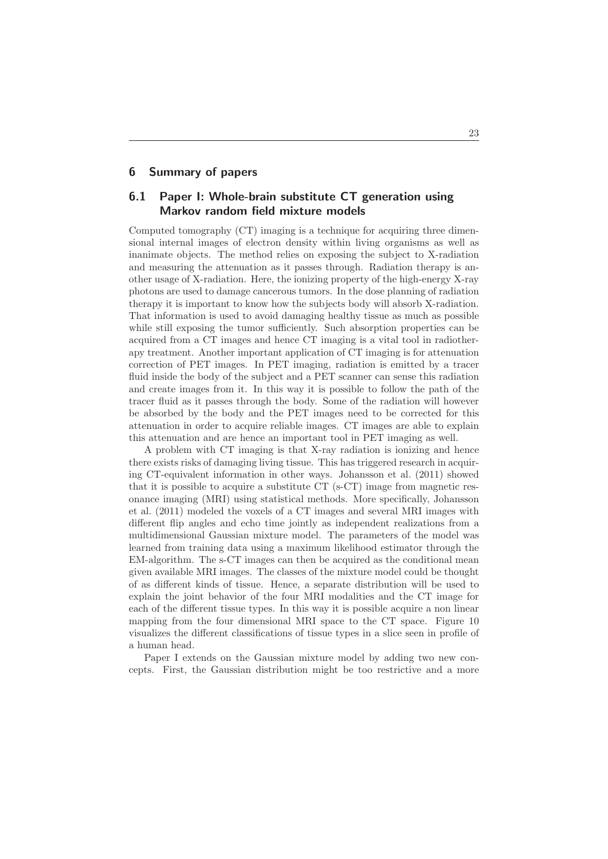## **6 Summary of papers**

## **6.1 Paper I: Whole-brain substitute CT generation using Markov random field mixture models**

Computed tomography (CT) imaging is a technique for acquiring three dimensional internal images of electron density within living organisms as well as inanimate objects. The method relies on exposing the subject to X-radiation and measuring the attenuation as it passes through. Radiation therapy is another usage of X-radiation. Here, the ionizing property of the high-energy X-ray photons are used to damage cancerous tumors. In the dose planning of radiation therapy it is important to know how the subjects body will absorb X-radiation. That information is used to avoid damaging healthy tissue as much as possible while still exposing the tumor sufficiently. Such absorption properties can be acquired from a CT images and hence CT imaging is a vital tool in radiotherapy treatment. Another important application of CT imaging is for attenuation correction of PET images. In PET imaging, radiation is emitted by a tracer fluid inside the body of the subject and a PET scanner can sense this radiation and create images from it. In this way it is possible to follow the path of the tracer fluid as it passes through the body. Some of the radiation will however be absorbed by the body and the PET images need to be corrected for this attenuation in order to acquire reliable images. CT images are able to explain this attenuation and are hence an important tool in PET imaging as well.

A problem with CT imaging is that X-ray radiation is ionizing and hence there exists risks of damaging living tissue. This has triggered research in acquiring CT-equivalent information in other ways. Johansson et al. (2011) showed that it is possible to acquire a substitute CT (s-CT) image from magnetic resonance imaging (MRI) using statistical methods. More specifically, Johansson et al. (2011) modeled the voxels of a CT images and several MRI images with different flip angles and echo time jointly as independent realizations from a multidimensional Gaussian mixture model. The parameters of the model was learned from training data using a maximum likelihood estimator through the EM-algorithm. The s-CT images can then be acquired as the conditional mean given available MRI images. The classes of the mixture model could be thought of as different kinds of tissue. Hence, a separate distribution will be used to explain the joint behavior of the four MRI modalities and the CT image for each of the different tissue types. In this way it is possible acquire a non linear mapping from the four dimensional MRI space to the CT space. Figure 10 visualizes the different classifications of tissue types in a slice seen in profile of a human head.

Paper I extends on the Gaussian mixture model by adding two new concepts. First, the Gaussian distribution might be too restrictive and a more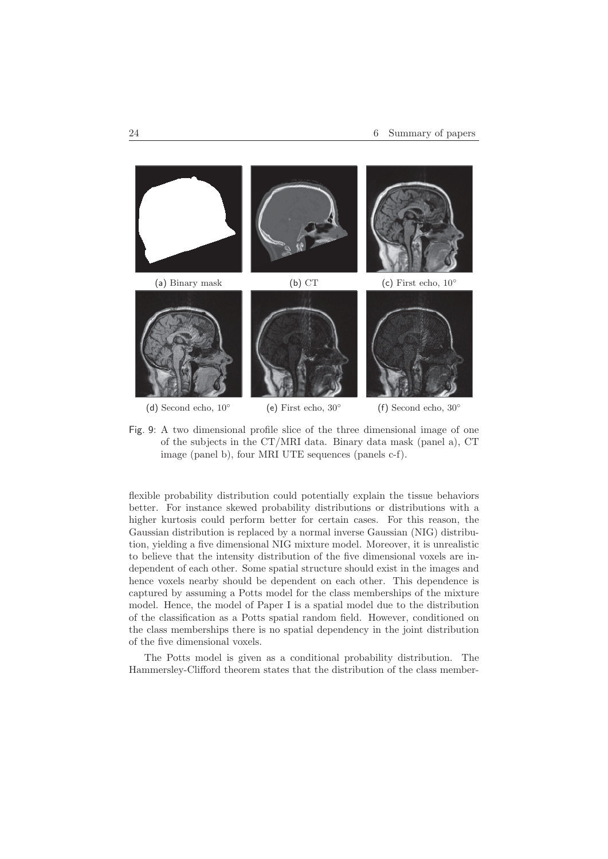

Fig. 9: A two dimensional profile slice of the three dimensional image of one of the subjects in the CT/MRI data. Binary data mask (panel a), CT image (panel b), four MRI UTE sequences (panels c-f).

flexible probability distribution could potentially explain the tissue behaviors better. For instance skewed probability distributions or distributions with a higher kurtosis could perform better for certain cases. For this reason, the Gaussian distribution is replaced by a normal inverse Gaussian (NIG) distribution, yielding a five dimensional NIG mixture model. Moreover, it is unrealistic to believe that the intensity distribution of the five dimensional voxels are independent of each other. Some spatial structure should exist in the images and hence voxels nearby should be dependent on each other. This dependence is captured by assuming a Potts model for the class memberships of the mixture model. Hence, the model of Paper I is a spatial model due to the distribution of the classification as a Potts spatial random field. However, conditioned on the class memberships there is no spatial dependency in the joint distribution of the five dimensional voxels.

The Potts model is given as a conditional probability distribution. The Hammersley-Clifford theorem states that the distribution of the class member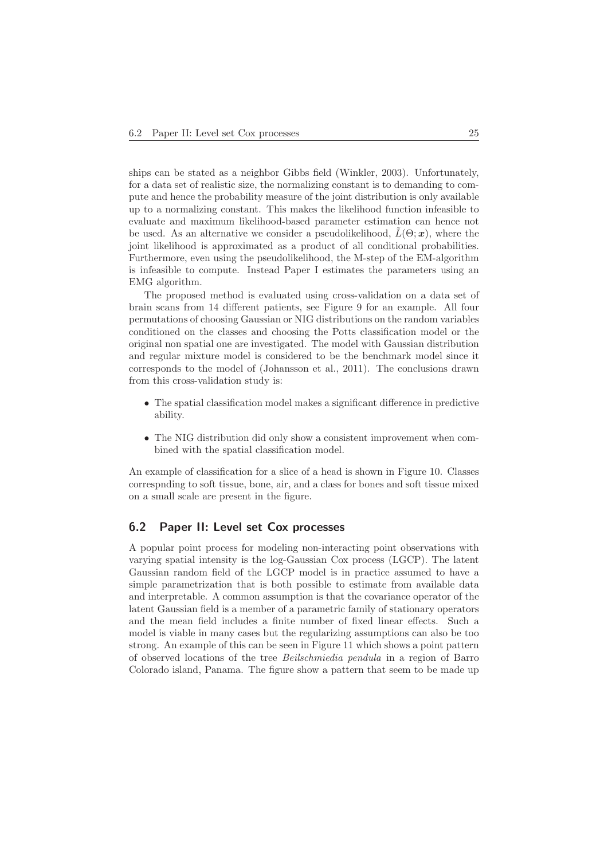ships can be stated as a neighbor Gibbs field (Winkler, 2003). Unfortunately, for a data set of realistic size, the normalizing constant is to demanding to compute and hence the probability measure of the joint distribution is only available up to a normalizing constant. This makes the likelihood function infeasible to evaluate and maximum likelihood-based parameter estimation can hence not be used. As an alternative we consider a pseudolikelihood,  $L(\Theta; \mathbf{x})$ , where the joint likelihood is approximated as a product of all conditional probabilities. Furthermore, even using the pseudolikelihood, the M-step of the EM-algorithm is infeasible to compute. Instead Paper I estimates the parameters using an EMG algorithm.

The proposed method is evaluated using cross-validation on a data set of brain scans from 14 different patients, see Figure 9 for an example. All four permutations of choosing Gaussian or NIG distributions on the random variables conditioned on the classes and choosing the Potts classification model or the original non spatial one are investigated. The model with Gaussian distribution and regular mixture model is considered to be the benchmark model since it corresponds to the model of (Johansson et al., 2011). The conclusions drawn from this cross-validation study is:

- The spatial classification model makes a significant difference in predictive ability.
- The NIG distribution did only show a consistent improvement when combined with the spatial classification model.

An example of classification for a slice of a head is shown in Figure 10. Classes correspnding to soft tissue, bone, air, and a class for bones and soft tissue mixed on a small scale are present in the figure.

## **6.2 Paper II: Level set Cox processes**

A popular point process for modeling non-interacting point observations with varying spatial intensity is the log-Gaussian Cox process (LGCP). The latent Gaussian random field of the LGCP model is in practice assumed to have a simple parametrization that is both possible to estimate from available data and interpretable. A common assumption is that the covariance operator of the latent Gaussian field is a member of a parametric family of stationary operators and the mean field includes a finite number of fixed linear effects. Such a model is viable in many cases but the regularizing assumptions can also be too strong. An example of this can be seen in Figure 11 which shows a point pattern of observed locations of the tree Beilschmiedia pendula in a region of Barro Colorado island, Panama. The figure show a pattern that seem to be made up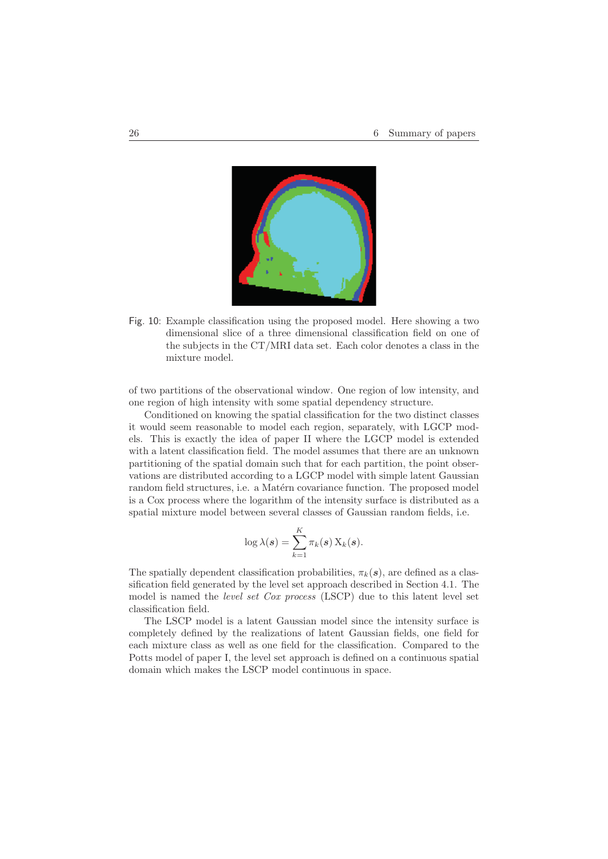

Fig. 10: Example classification using the proposed model. Here showing a two dimensional slice of a three dimensional classification field on one of the subjects in the CT/MRI data set. Each color denotes a class in the mixture model.

of two partitions of the observational window. One region of low intensity, and one region of high intensity with some spatial dependency structure.

Conditioned on knowing the spatial classification for the two distinct classes it would seem reasonable to model each region, separately, with LGCP models. This is exactly the idea of paper II where the LGCP model is extended with a latent classification field. The model assumes that there are an unknown partitioning of the spatial domain such that for each partition, the point observations are distributed according to a LGCP model with simple latent Gaussian random field structures, i.e. a Matérn covariance function. The proposed model is a Cox process where the logarithm of the intensity surface is distributed as a spatial mixture model between several classes of Gaussian random fields, i.e.

$$
\log \lambda(\boldsymbol{s}) = \sum_{k=1}^K \pi_k(\boldsymbol{s}) \, \mathrm{X}_k(\boldsymbol{s}).
$$

The spatially dependent classification probabilities,  $\pi_k(s)$ , are defined as a classification field generated by the level set approach described in Section 4.1. The model is named the level set Cox process (LSCP) due to this latent level set classification field.

The LSCP model is a latent Gaussian model since the intensity surface is completely defined by the realizations of latent Gaussian fields, one field for each mixture class as well as one field for the classification. Compared to the Potts model of paper I, the level set approach is defined on a continuous spatial domain which makes the LSCP model continuous in space.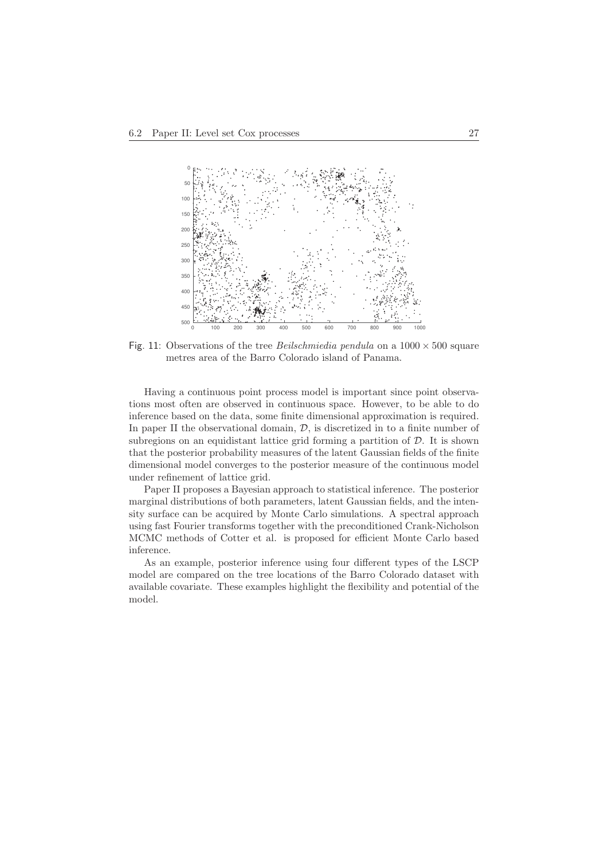

Fig. 11: Observations of the tree *Beilschmiedia pendula* on a  $1000 \times 500$  square metres area of the Barro Colorado island of Panama.

Having a continuous point process model is important since point observations most often are observed in continuous space. However, to be able to do inference based on the data, some finite dimensional approximation is required. In paper II the observational domain,  $D$ , is discretized in to a finite number of subregions on an equidistant lattice grid forming a partition of  $D$ . It is shown that the posterior probability measures of the latent Gaussian fields of the finite dimensional model converges to the posterior measure of the continuous model under refinement of lattice grid.

Paper II proposes a Bayesian approach to statistical inference. The posterior marginal distributions of both parameters, latent Gaussian fields, and the intensity surface can be acquired by Monte Carlo simulations. A spectral approach using fast Fourier transforms together with the preconditioned Crank-Nicholson MCMC methods of Cotter et al. is proposed for efficient Monte Carlo based inference.

As an example, posterior inference using four different types of the LSCP model are compared on the tree locations of the Barro Colorado dataset with available covariate. These examples highlight the flexibility and potential of the model.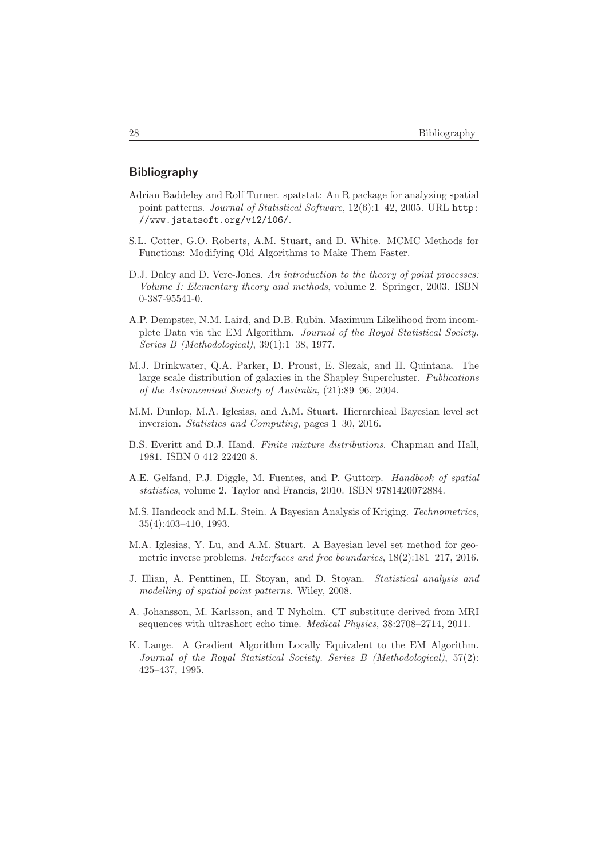## **Bibliography**

- Adrian Baddeley and Rolf Turner. spatstat: An R package for analyzing spatial point patterns. Journal of Statistical Software, 12(6):1–42, 2005. URL http: //www.jstatsoft.org/v12/i06/.
- S.L. Cotter, G.O. Roberts, A.M. Stuart, and D. White. MCMC Methods for Functions: Modifying Old Algorithms to Make Them Faster.
- D.J. Daley and D. Vere-Jones. An introduction to the theory of point processes: Volume I: Elementary theory and methods, volume 2. Springer, 2003. ISBN 0-387-95541-0.
- A.P. Dempster, N.M. Laird, and D.B. Rubin. Maximum Likelihood from incomplete Data via the EM Algorithm. Journal of the Royal Statistical Society. Series B (Methodological), 39(1):1–38, 1977.
- M.J. Drinkwater, Q.A. Parker, D. Proust, E. Slezak, and H. Quintana. The large scale distribution of galaxies in the Shapley Supercluster. Publications of the Astronomical Society of Australia, (21):89–96, 2004.
- M.M. Dunlop, M.A. Iglesias, and A.M. Stuart. Hierarchical Bayesian level set inversion. Statistics and Computing, pages 1–30, 2016.
- B.S. Everitt and D.J. Hand. Finite mixture distributions. Chapman and Hall, 1981. ISBN 0 412 22420 8.
- A.E. Gelfand, P.J. Diggle, M. Fuentes, and P. Guttorp. Handbook of spatial statistics, volume 2. Taylor and Francis, 2010. ISBN 9781420072884.
- M.S. Handcock and M.L. Stein. A Bayesian Analysis of Kriging. Technometrics, 35(4):403–410, 1993.
- M.A. Iglesias, Y. Lu, and A.M. Stuart. A Bayesian level set method for geometric inverse problems. Interfaces and free boundaries, 18(2):181–217, 2016.
- J. Illian, A. Penttinen, H. Stoyan, and D. Stoyan. Statistical analysis and modelling of spatial point patterns. Wiley, 2008.
- A. Johansson, M. Karlsson, and T Nyholm. CT substitute derived from MRI sequences with ultrashort echo time. Medical Physics, 38:2708–2714, 2011.
- K. Lange. A Gradient Algorithm Locally Equivalent to the EM Algorithm. Journal of the Royal Statistical Society. Series B (Methodological), 57(2): 425–437, 1995.